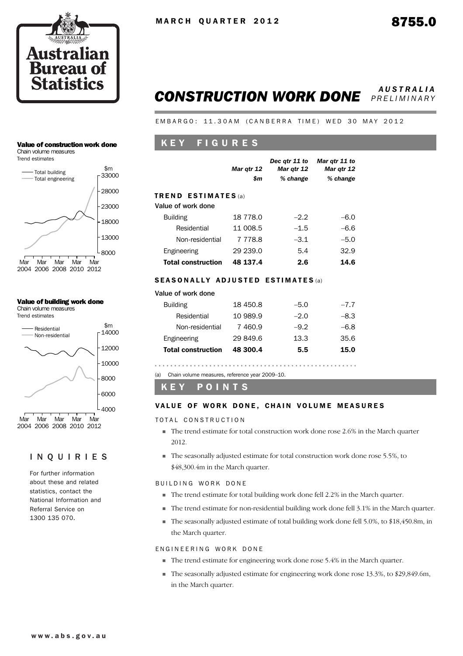

#### *CONSTRUCTION WORK DONE AUSTRALIA PRELIMINARY*

EMBARGO: 11.30AM (CANBERRA TIME) WED 30 MAY 2012

### K E Y F I G U R E S

|                                                  | Mar qtr 12<br>\$m | Dec atr 11 to<br>Mar qtr 12<br>% change | Mar gtr 11 to<br>Mar qtr 12<br>% change |
|--------------------------------------------------|-------------------|-----------------------------------------|-----------------------------------------|
| <b>TREND ESTIMATES</b> (a)<br>Value of work done |                   |                                         |                                         |
| <b>Building</b>                                  | 18 778.0          | $-2.2$                                  | $-6.0$                                  |
| Residential                                      | 11 008.5          | $-1.5$                                  | $-6.6$                                  |
| Non-residential                                  | 7 7 7 8 .8        | $-3.1$                                  | $-5.0$                                  |
| Engineering                                      | 29 239.0          | 5.4                                     | 32.9                                    |
| <b>Total construction</b>                        | 48 137.4          | 2.6                                     | 14.6                                    |

#### SEASONALLY ADJUSTED ESTIMATES (a)

| Value of work done |  |
|--------------------|--|
|--------------------|--|

| <b>Total construction</b> | 48 300.4 | 5.5    | 15.0   |
|---------------------------|----------|--------|--------|
| Engineering               | 29 849.6 | 13.3   | 35.6   |
| Non-residential           | 7 460.9  | $-9.2$ | $-6.8$ |
| Residential               | 10 989.9 | $-2.0$ | $-8.3$ |
| <b>Building</b>           | 18 450.8 | $-5.0$ | $-7.7$ |

(a) Chain volume measures, reference year 2009–10.

K E Y P O I N T S

#### VALUE OF WORK DONE, CHAIN VOLUME MEASURES

TOTAL CONSTRUCTION

- ! The trend estimate for total construction work done rose 2.6% in the March quarter 2012.
- ! The seasonally adjusted estimate for total construction work done rose 5.5%, to \$48,300.4m in the March quarter.

BUILDING WORK DONE

- ! The trend estimate for total building work done fell 2.2% in the March quarter.
- ! The trend estimate for non-residential building work done fell 3.1% in the March quarter.
- ! The seasonally adjusted estimate of total building work done fell 5.0%, to \$18,450.8m, in the March quarter.

#### ENGINEERING WORK DONE

- ! The trend estimate for engineering work done rose 5.4% in the March quarter.
- ! The seasonally adjusted estimate for engineering work done rose 13.3%, to \$29,849.6m, in the March quarter.

#### Value of construction work done

Chain volume measures



#### Value of building work done

Chain volume measures Trend estimates



#### INQUIRIES

For further information about these and related statistics, contact the National Information and Referral Service on 1300 135 070.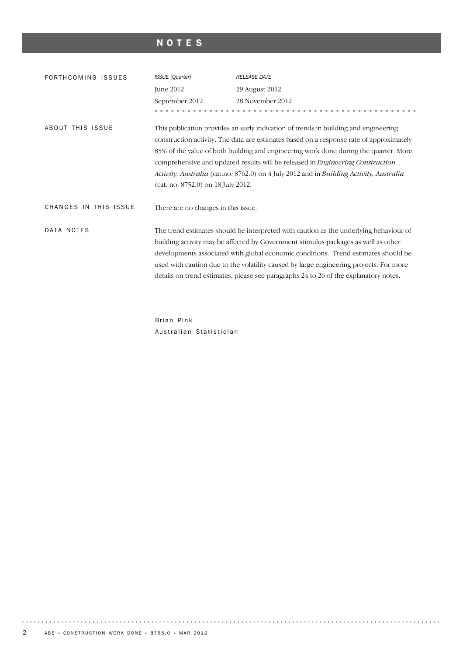## NOTES

| FORTHCOMING ISSUES    | <b>ISSUE</b> (Quarter)                                                                                                                                                                                                                                                                                                                                                                                                                                                                    | <b>RELEASE DATE</b>                                                                                                                                                                                                                                                                                                                                                                                                                                 |  |  |  |  |  |  |
|-----------------------|-------------------------------------------------------------------------------------------------------------------------------------------------------------------------------------------------------------------------------------------------------------------------------------------------------------------------------------------------------------------------------------------------------------------------------------------------------------------------------------------|-----------------------------------------------------------------------------------------------------------------------------------------------------------------------------------------------------------------------------------------------------------------------------------------------------------------------------------------------------------------------------------------------------------------------------------------------------|--|--|--|--|--|--|
|                       | June 2012                                                                                                                                                                                                                                                                                                                                                                                                                                                                                 | 29 August 2012                                                                                                                                                                                                                                                                                                                                                                                                                                      |  |  |  |  |  |  |
|                       | September 2012                                                                                                                                                                                                                                                                                                                                                                                                                                                                            | 28 November 2012                                                                                                                                                                                                                                                                                                                                                                                                                                    |  |  |  |  |  |  |
|                       |                                                                                                                                                                                                                                                                                                                                                                                                                                                                                           |                                                                                                                                                                                                                                                                                                                                                                                                                                                     |  |  |  |  |  |  |
| ABOUT THIS ISSUE      | This publication provides an early indication of trends in building and engineering<br>construction activity. The data are estimates based on a response rate of approximately<br>85% of the value of both building and engineering work done during the quarter. More<br>comprehensive and updated results will be released in Engineering Construction<br>Activity, Australia (cat.no. 8762.0) on 4 July 2012 and in Building Activity, Australia<br>(cat. no. 8752.0) on 18 July 2012. |                                                                                                                                                                                                                                                                                                                                                                                                                                                     |  |  |  |  |  |  |
| CHANGES IN THIS ISSUE | There are no changes in this issue.                                                                                                                                                                                                                                                                                                                                                                                                                                                       |                                                                                                                                                                                                                                                                                                                                                                                                                                                     |  |  |  |  |  |  |
| DATA NOTES            |                                                                                                                                                                                                                                                                                                                                                                                                                                                                                           | The trend estimates should be interpreted with caution as the underlying behaviour of<br>building activity may be affected by Government stimulus packages as well as other<br>developments associated with global economic conditions. Trend estimates should be<br>used with caution due to the volatility caused by large engineering projects. For more<br>details on trend estimates, please see paragraphs 24 to 26 of the explanatory notes. |  |  |  |  |  |  |

Brian Pink Australian Statistician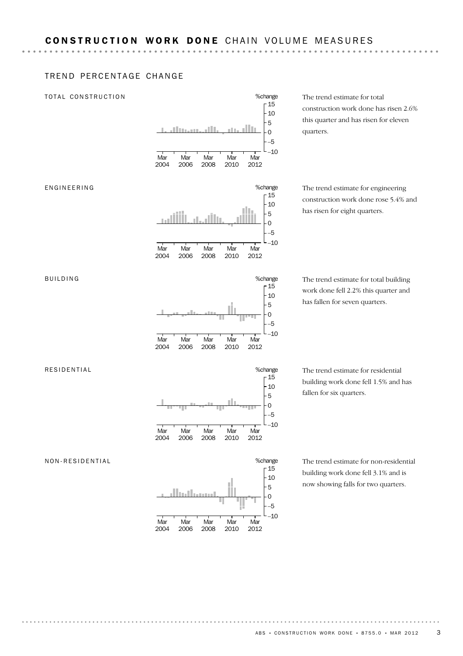#### TREND PERCENTAGE CHANGE

#### TOTAL CONSTRUCTION



The trend estimate for total construction work done has risen 2.6% this quarter and has risen for eleven quarters.

The trend estimate for engineering construction work done rose 5.4% and has risen for eight quarters.

The trend estimate for total building work done fell 2.2% this quarter and has fallen for seven quarters.

The trend estimate for residential building work done fell 1.5% and has fallen for six quarters.

The trend estimate for non-residential building work done fell 3.1% and is now showing falls for two quarters.



ENGINEERING



**Mar** 2008

Mar 2010

Mar 2012

%change

–10 –5 0 5  $-10$  $-15$ 

Mar 2004

**Mar** 2006

#### RESIDENTIAL

NON-RESIDENTIAL



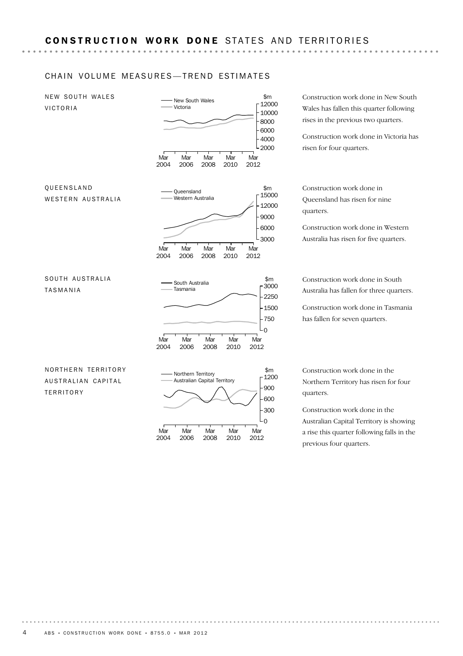#### CHAIN VOLUME MEASURES-TREND ESTIMATES

NEW SOUTH WALES VICTORIA



2004

2006

2008

2010

2012

Construction work done in New South Wales has fallen this quarter following rises in the previous two quarters.

Construction work done in Victoria has risen for four quarters.

Construction work done in Queensland has risen for nine quarters.

Construction work done in Western Australia has risen for five quarters.

Construction work done in South Australia has fallen for three quarters.

Construction work done in Tasmania has fallen for seven quarters.

Construction work done in the Northern Territory has risen for four quarters.

Construction work done in the Australian Capital Territory is showing a rise this quarter following falls in the previous four quarters.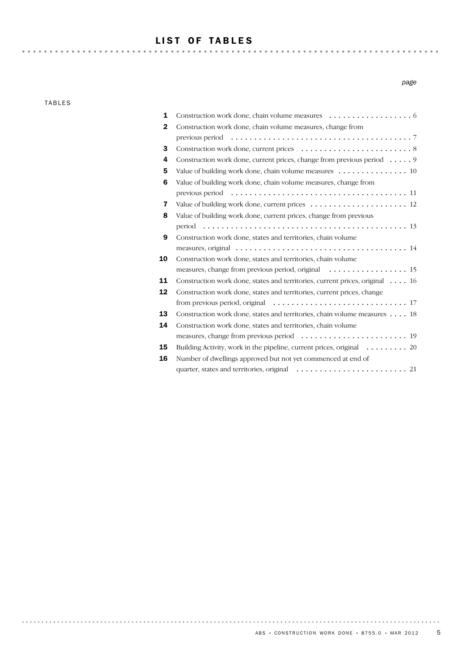## LIST OF TABLES

TABLES

*page*

| $\mathbf{2}$ | Construction work done, chain volume measures, change from                  |
|--------------|-----------------------------------------------------------------------------|
|              |                                                                             |
| 3            |                                                                             |
| 4            | Construction work done, current prices, change from previous period 9       |
| 5            | Value of building work done, chain volume measures 10                       |
| 6            | Value of building work done, chain volume measures, change from             |
|              |                                                                             |
| 7            |                                                                             |
| 8            | Value of building work done, current prices, change from previous           |
|              |                                                                             |
| 9            | Construction work done, states and territories, chain volume                |
|              |                                                                             |
| 10           | Construction work done, states and territories, chain volume                |
|              |                                                                             |
| 11           | Construction work done, states and territories, current prices, original 16 |
| 12           | Construction work done, states and territories, current prices, change      |
|              |                                                                             |
| 13           | Construction work done, states and territories, chain volume measures 18    |
| 14           | Construction work done, states and territories, chain volume                |
|              |                                                                             |
| 15           | Building Activity, work in the pipeline, current prices, original 20        |
| 16           | Number of dwellings approved but not yet commenced at end of                |
|              |                                                                             |
|              |                                                                             |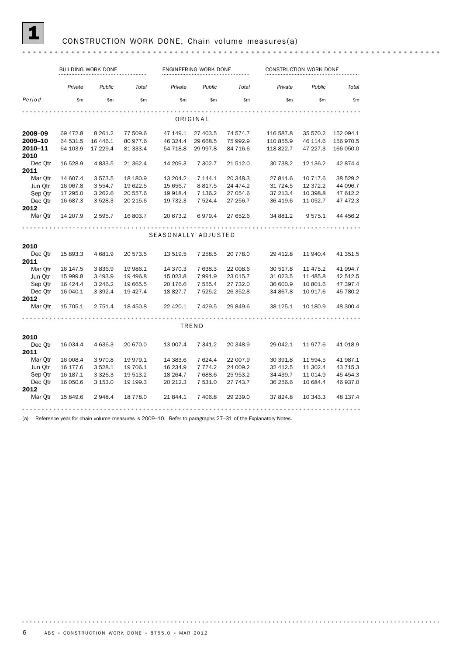## 1 CONSTRUCTION WORK DONE, Chain volume measures(a)

|                 |           | BUILDING WORK DONE |           |                     | ENGINEERING WORK DONE |          |           | CONSTRUCTION WORK DONE |           |  |  |
|-----------------|-----------|--------------------|-----------|---------------------|-----------------------|----------|-----------|------------------------|-----------|--|--|
|                 | Private   | Public             | Total     | Private             | Public                | Total    | Private   | Public                 | Total     |  |  |
| Period          | \$m\$     | \$m\$              | \$m\$     | \$m\$               | \$m\$                 | \$m\$    | \$m       | \$m\$                  | \$m       |  |  |
|                 |           |                    |           |                     |                       |          |           |                        |           |  |  |
|                 |           |                    |           |                     | ORIGINAL              |          |           |                        |           |  |  |
| 2008-09         | 69 472.8  | 8 2 6 1.2          | 77 509.6  | 47 149.1            | 27 403.5              | 74 574.7 | 116 587.8 | 35 570.2               | 152 094.1 |  |  |
| 2009-10         | 64 531.5  | 16 4 46.1          | 80 977.6  | 46 324.4            | 29 668.5              | 75 992.9 | 110 855.9 | 46 114.6               | 156 970.5 |  |  |
| 2010-11<br>2010 | 64 103.9  | 17 229.4           | 81 333.4  | 54 718.8            | 29 997.8              | 84 716.6 | 118 822.7 | 47 227.3               | 166 050.0 |  |  |
| Dec Qtr         | 16 528.9  | 4 8 3 3.5          | 21 362.4  | 14 209.3            | 7 302.7               | 21 512.0 | 30 738.2  | 12 136.2               | 42 874.4  |  |  |
| 2011            |           |                    |           |                     |                       |          |           |                        |           |  |  |
| Mar Otr         | 14 607.4  | 3573.5             | 18 18 0.9 | 13 204.2            | 7 144.1               | 20 348.3 | 27 811.6  | 10 717.6               | 38 529.2  |  |  |
| Jun Otr         | 16 067.8  | 3 5 5 4.7          | 19 622.5  | 15 656.7            | 8 8 1 7.5             | 24 474.2 | 31 724.5  | 12 372.2               | 44 096.7  |  |  |
| Sep Qtr         | 17 295.0  | 3 262.6            | 20 557.6  | 19 918.4            | 7 136.2               | 27 054.6 | 37 213.4  | 10 398.8               | 47 612.2  |  |  |
| Dec Otr         | 16 687.3  | 3 5 28.3           | 20 215.6  | 19 732.3            | 7 5 2 4.4             | 27 256.7 | 36 419.6  | 11 052.7               | 47 472.3  |  |  |
| 2012            |           |                    |           |                     |                       |          |           |                        |           |  |  |
| Mar Qtr         | 14 207.9  | 2 595.7            | 16 803.7  | 20 673.2            | 6979.4                | 27 652.6 | 34 881.2  | 9575.1                 | 44 456.2  |  |  |
|                 |           |                    |           |                     |                       |          |           |                        |           |  |  |
|                 |           |                    |           | SEASONALLY ADJUSTED |                       |          |           |                        |           |  |  |
| 2010            |           |                    |           |                     |                       |          |           |                        |           |  |  |
| Dec Otr         | 15 893.3  | 4 681.9            | 20 573.5  | 13 519.5            | 7 258.5               | 20 778.0 | 29 412.8  | 11 940.4               | 41 351.5  |  |  |
| 2011            |           |                    |           |                     |                       |          |           |                        |           |  |  |
| Mar Otr         | 16 147.5  | 3836.9             | 19 986.1  | 14 370.3            | 7 638.3               | 22 008.6 | 30 517.8  | 11 475.2               | 41 994.7  |  |  |
| Jun Otr         | 15 999.8  | 3 4 9 3.9          | 19 49 6.8 | 15 023.8            | 7991.9                | 23 015.7 | 31 023.5  | 11 485.8               | 42 512.5  |  |  |
| Sep Otr         | 16 4 24.4 | 3 2 4 6.2          | 19 665.5  | 20 176.6            | 7 555.4               | 27 732.0 | 36 600.9  | 10 801.6               | 47 397.4  |  |  |
| Dec Otr         | 16 040.1  | 3 3 9 2.4          | 19 4 27.4 | 18 827.7            | 7 5 2 5.2             | 26 352.8 | 34 867.8  | 10 917.6               | 45 780.2  |  |  |
| 2012            |           |                    |           |                     |                       |          |           |                        |           |  |  |
| Mar Otr         | 15 705.1  | 2 7 5 1.4          | 18 450.8  | 22 4 20.1           | 7 4 2 9.5             | 29 849.6 | 38 125.1  | 10 180.9               | 48 300.4  |  |  |
|                 |           |                    |           |                     |                       |          |           |                        |           |  |  |
|                 |           |                    |           |                     | TREND                 |          |           |                        |           |  |  |
| 2010            |           |                    |           |                     |                       |          |           |                        |           |  |  |
| Dec Otr         | 16 034.4  | 4 636.3            | 20 670.0  | 13 007.4            | 7 341.2               | 20 348.9 | 29 042.1  | 11 977.6               | 41 018.9  |  |  |
| 2011            |           |                    |           |                     |                       |          |           |                        |           |  |  |
| Mar Otr         | 16 008.4  | 3970.8             | 19 979.1  | 14 383.6            | 7 624.4               | 22 007.9 | 30 391.8  | 11 594.5               | 41 987.1  |  |  |
| Jun Qtr         | 16 177.6  | 3 5 28.1           | 19 706.1  | 16 234.9            | 7 7 7 4.2             | 24 009.2 | 32 412.5  | 11 302.4               | 43 715.3  |  |  |
| Sep Qtr         | 16 187.1  | 3 3 2 6 . 3        | 19 513.2  | 18 264.7            | 7 688.6               | 25 953.2 | 34 439.7  | 11 014.9               | 45 454.3  |  |  |
| Dec Otr         | 16 050.6  | 3 153.0            | 19 199.3  | 20 212.3            | 7 531.0               | 27 743.7 | 36 256.6  | 10 684.4               | 46 937.0  |  |  |
| 2012            |           |                    |           |                     |                       |          |           |                        |           |  |  |
| Mar Otr         | 15 849.6  | 2948.4             | 18 7 78.0 | 21 844.1            | 7 406.8               | 29 239.0 | 37 824.8  | 10 343.3               | 48 137.4  |  |  |
|                 |           |                    |           |                     |                       |          |           |                        |           |  |  |

(a) Reference year for chain volume measures is 2009–10. Refer to paragraphs 27–31 of the Explanatory Notes.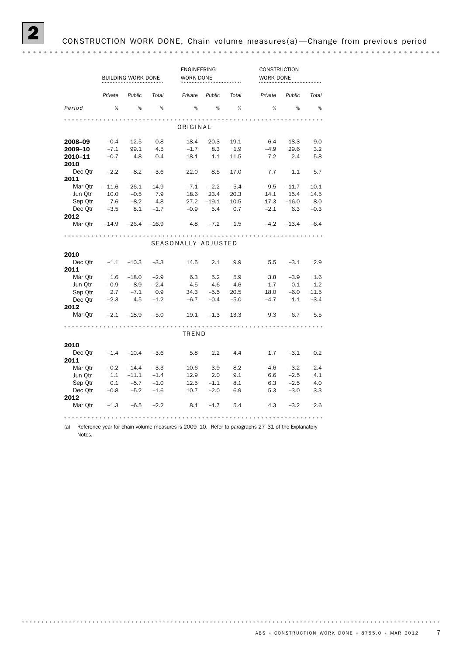|                 | BUILDING WORK DONE |              |         | ENGINEERING<br>WORK DONE |         |        |         | CONSTRUCTION<br>WORK DONE |         |  |  |
|-----------------|--------------------|--------------|---------|--------------------------|---------|--------|---------|---------------------------|---------|--|--|
|                 | Private            | Public       | Total   | Private                  | Public  | Total  | Private | Public                    | Total   |  |  |
| Period          | %                  | %            | %       | %                        | %       | %      | %       | %                         | %       |  |  |
|                 |                    |              |         |                          |         |        |         |                           |         |  |  |
| ORIGINAL        |                    |              |         |                          |         |        |         |                           |         |  |  |
| 2008–09         | $-0.4$             | 12.5         | 0.8     | 18.4                     | 20.3    | 19.1   | 6.4     | 18.3                      | 9.0     |  |  |
| 2009-10         | $-7.1$             | 99.1         | 4.5     | $-1.7$                   | 8.3     | 1.9    | $-4.9$  | 29.6                      | 3.2     |  |  |
| 2010-11<br>2010 | $-0.7$             | -4.8         | 0.4     | 18.1                     | 1.1     | 11.5   | 7.2     | 2.4                       | 5.8     |  |  |
| Dec Qtr         | $-2.2$             | $-8.2$       | $-3.6$  | 22.0                     | 8.5     | 17.0   | 7.7     | 1.1                       | 5.7     |  |  |
| 2011            |                    |              |         |                          |         |        |         |                           |         |  |  |
| Mar Otr         | $-11.6$            | $-26.1$      | $-14.9$ | $-7.1$                   | $-2.2$  | $-5.4$ | $-9.5$  | $-11.7$                   | $-10.1$ |  |  |
| Jun Otr         | 10.0               | $-0.5$       | 7.9     | 18.6                     | 23.4    | 20.3   | 14.1    | 15.4                      | 14.5    |  |  |
| Sep Otr         | 7.6                | $-8.2$       | -4.8    | 27.2                     | $-19.1$ | 10.5   | 17.3    | $-16.0$                   | 8.0     |  |  |
| Dec Otr         | $-3.5$             | 8.1          | $-1.7$  | $-0.9$                   | 5.4     | 0.7    | $-2.1$  | 6.3                       | $-0.3$  |  |  |
| 2012<br>Mar Otr | $-14.9$            | $-26.4$      | $-16.9$ | - 4.8                    | $-7.2$  | 1.5    | $-4.2$  | $-13.4$                   | $-6.4$  |  |  |
|                 |                    |              |         |                          |         |        |         |                           |         |  |  |
|                 |                    |              |         | SEASONALLY ADJUSTED      |         |        |         |                           |         |  |  |
| 2010            |                    |              |         |                          |         |        |         |                           |         |  |  |
| Dec Otr<br>2011 | $-1.1$             | $-10.3$      | $-3.3$  | 14.5                     | 2.1     | 9.9    | 5.5     | $-3.1$                    | 2.9     |  |  |
| Mar Otr         | 1.6                | $-18.0$      | $-2.9$  | 6.3                      | 5.2     | 5.9    | 3.8     | $-3.9$                    | 1.6     |  |  |
| Jun Qtr         | $-0.9$             | $-8.9$       | $-2.4$  | 4.5                      | 4.6     | 4.6    | 1.7     | 0.1                       | 1.2     |  |  |
| Sep Otr         | 2.7                | $-7.1$       | 0.9     | 34.3                     | $-5.5$  | 20.5   | 18.0    | $-6.0$                    | 11.5    |  |  |
| Dec Otr         | $-2.3$             | - 4.5        | $-1.2$  | $-6.7$                   | $-0.4$  | $-5.0$ | $-4.7$  | 1.1                       | $-3.4$  |  |  |
| 2012            |                    |              |         |                          |         |        |         |                           |         |  |  |
| Mar Otr         | $-2.1$             | $-18.9$      | $-5.0$  | 19.1                     | $-1.3$  | 13.3   | 9.3     | $-6.7$                    | 5.5     |  |  |
|                 |                    |              |         | TREND                    |         |        |         |                           |         |  |  |
| 2010            |                    |              |         |                          |         |        |         |                           |         |  |  |
| Dec Otr         |                    | $-1.4 -10.4$ | $-3.6$  | 5.8                      | 2.2     | 4.4    | 1.7     | $-3.1$                    | 0.2     |  |  |
| 2011            |                    |              |         |                          |         |        |         |                           |         |  |  |
| Mar Otr         | $-0.2$             | $-14.4$      | $-3.3$  | 10.6                     | 3.9     | 8.2    | 4.6     | $-3.2$                    | 2.4     |  |  |
| Jun Otr         | 1.1                | $-11.1$      | $-1.4$  | 12.9                     | 2.0     | 9.1    | 6.6     | $-2.5$                    | 4.1     |  |  |
| Sep Otr         | 0.1                | $-5.7$       | $-1.0$  | 12.5                     | $-1.1$  | 8.1    | 6.3     | $-2.5$                    | 4.0     |  |  |
| Dec Otr         | $-0.8$             | $-5.2$       | $-1.6$  | 10.7                     | $-2.0$  | 6.9    | 5.3     | $-3.0$                    | 3.3     |  |  |
| 2012<br>Mar Otr | $-1.3$             | $-6.5$       | $-2.2$  | 8.1                      | $-1.7$  | 5.4    | 4.3     | $-3.2$                    | 2.6     |  |  |
|                 |                    |              |         |                          |         |        |         |                           |         |  |  |

(a) Reference year for chain volume measures is 2009–10. Refer to paragraphs 27–31 of the Explanatory Notes.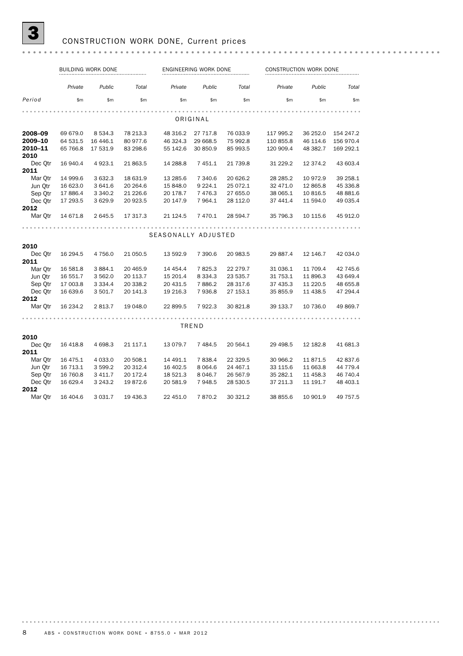# **3** CONSTRUCTION WORK DONE, Current prices

|                 |           | BUILDING WORK DONE |           |                     | ENGINEERING WORK DONE |          | CONSTRUCTION WORK DONE |            |           |  |
|-----------------|-----------|--------------------|-----------|---------------------|-----------------------|----------|------------------------|------------|-----------|--|
|                 | Private   | Public             | Total     | Private             | Public                | Total    | Private                | Public     | Total     |  |
| Period          | \$m       | \$m                | \$m       | \$m\$               | \$m                   | \$m      | \$m                    | \$m        | \$m\$     |  |
|                 |           |                    |           |                     |                       |          |                        |            |           |  |
| ORIGINAL        |           |                    |           |                     |                       |          |                        |            |           |  |
| 2008-09         | 69 679.0  | 8 5 3 4 . 3        | 78 213.3  | 48 316.2            | 27 717.8              | 76 033.9 | 117 995.2              | 36 252.0   | 154 247.2 |  |
| 2009-10         | 64 531.5  | 16 4 46.1          | 80 977.6  | 46 324.3            | 29 668.5              | 75 992.8 | 110 855.8              | 46 114.6   | 156 970.4 |  |
| 2010-11<br>2010 | 65 766.8  | 17 531.9           | 83 298.6  | 55 142.6            | 30 850.9              | 85 993.5 | 120 909.4              | 48 382.7   | 169 292.1 |  |
| Dec Otr         | 16 940.4  | 4923.1             | 21 863.5  | 14 288.8            | 7451.1                | 21 739.8 | 31 229.2               | 12 374.2   | 43 603.4  |  |
| 2011            |           |                    |           |                     |                       |          |                        |            |           |  |
| Mar Otr         | 14 999.6  | 3632.3             | 18 631.9  | 13 285.6            | 7 340.6               | 20 626.2 | 28 28 5.2              | 10 972.9   | 39 258.1  |  |
| Jun Otr         | 16 623.0  | 3 641.6            | 20 264.6  | 15 848.0            | 9 2 2 4.1             | 25 072.1 | 32 471.0               | 12 865.8   | 45 336.8  |  |
| Sep Qtr         | 17886.4   | 3 3 4 0.2          | 21 226.6  | 20 178.7            | 7 4 7 6.3             | 27 655.0 | 38 065.1               | 10 816.5   | 48 881.6  |  |
| Dec Otr         | 17 293.5  | 3 6 29.9           | 20 923.5  | 20 147.9            | 7 9 64.1              | 28 112.0 | 37 441.4               | 11 594.0   | 49 035.4  |  |
| 2012            |           |                    |           |                     |                       |          |                        |            |           |  |
| Mar Qtr         | 14 671.8  | 2 645.5            | 17 317.3  | 21 124.5            | 7 470.1               | 28 594.7 | 35 796.3               | 10 115.6   | 45 912.0  |  |
|                 |           |                    |           |                     |                       |          |                        |            |           |  |
|                 |           |                    |           | SEASONALLY ADJUSTED |                       |          |                        |            |           |  |
| 2010            |           |                    |           |                     |                       |          |                        |            |           |  |
| Dec Otr         | 16 294.5  | 4 7 5 6.0          | 21 050.5  | 13 592.9            | 7 390.6               | 20 983.5 | 29 887.4               | 12 146.7   | 42 034.0  |  |
| 2011            |           |                    |           |                     |                       |          |                        |            |           |  |
| Mar Otr         | 16 581.8  | 3884.1             | 20 4 65.9 | 14 4 54.4           | 7825.3                | 22 279.7 | 31 036.1               | 11 709.4   | 42 745.6  |  |
| Jun Qtr         | 16 551.7  | 3 562.0            | 20 113.7  | 15 201.4            | 8 3 3 4 . 3           | 23 535.7 | 31 753.1               | 11 896.3   | 43 649.4  |  |
| Sep Otr         | 17 003.8  | 3 3 3 4.4          | 20 338.2  | 20 431.5            | 7886.2                | 28 317.6 | 37 435.3               | 11 2 2 0.5 | 48 655.8  |  |
| Dec Otr         | 16 639.6  | 3 501.7            | 20 141.3  | 19 216.3            | 7936.8                | 27 153.1 | 35 855.9               | 11 438.5   | 47 294.4  |  |
| 2012            |           |                    |           |                     |                       |          |                        |            |           |  |
| Mar Qtr         | 16 234.2  | 2813.7             | 19 048.0  | 22 899.5            | 7922.3                | 30 821.8 | 39 133.7               | 10 736.0   | 49 869.7  |  |
|                 |           |                    |           |                     |                       |          |                        |            |           |  |
|                 |           |                    |           |                     | TREND                 |          |                        |            |           |  |
| 2010            |           |                    |           |                     |                       |          |                        |            |           |  |
| Dec Otr<br>2011 | 16 4 18.8 | 4 698.3            | 21 117.1  | 13 079.7            | 7 4 8 4 .5            | 20 564.1 | 29 4 98.5              | 12 182.8   | 41 681.3  |  |
| Mar Otr         | 16 475.1  | 4 0 3 3.0          | 20 508.1  | 14 491.1            | 7838.4                | 22 329.5 | 30 966.2               | 11871.5    | 42 837.6  |  |
| Jun Otr         | 16 713.1  | 3 599.2            | 20 312.4  | 16 402.5            | 8 0 64.6              | 24 467.1 | 33 115.6               | 11 663.8   | 44 779.4  |  |
| Sep Qtr         | 16 760.8  | 3 4 1 1.7          | 20 172.4  | 18 521.3            | 8 0 4 6.7             | 26 567.9 | 35 282.1               | 11 458.3   | 46 740.4  |  |
| Dec Otr         | 16 629.4  | 3 2 4 3 . 2        | 19872.6   | 20 581.9            | 7948.5                | 28 530.5 | 37 211.3               | 11 191.7   | 48 403.1  |  |
| 2012            |           |                    |           |                     |                       |          |                        |            |           |  |
| Mar Otr         | 16 404.6  | 3 0 3 1.7          | 19 436.3  | 22 451.0            | 7870.2                | 30 321.2 | 38 855.6               | 10 901.9   | 49 757.5  |  |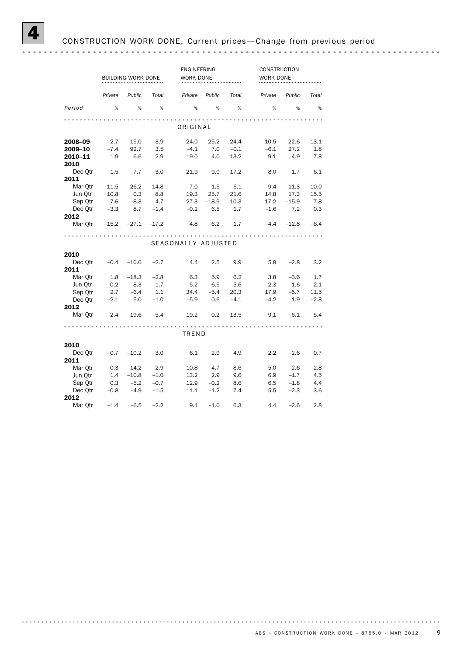ENGINEERING CONSTRUCTION BUILDING WORK DONE WORK DONE *Private Public Total Private Public Total Private Public Total Period* % % % % % % % % % ORIGINAL **2008–09** 2.7 15.0 3.9 24.0 25.2 24.4 10.5 22.6 13.1 <br>**2009–10** -7.4 92.7 3.5 -4.1 7.0 -0.1 -6.1 27.2 1.8<br>**2010–11** 1.9 6.6 2.9 19.0 4.0 13.2 9.1 4.9 7.8 **2009–10** –7.4 92.7 3.5 –4.1 7.0 –0.1 –6.1 27.2 1.8 **2010–11** 1.9 6.6 2.9 19.0 4.0 13.2 9.1 4.9 7.8 2010 Dec Qtr –1.5 –7.7 –3.0 21.9 9.0 17.2 8.0 1.7 6.1 **2011**<br>Mar Otr  $-11.5$   $-26.2$   $-14.8$ Mar Qtr –11.5 –26.2 –14.8 –7.0 –1.5 –5.1 –9.4 –11.3 –10.0 <table>\n<tbody>\n<tr>\n<th>Jun Qtr</th>\n<td>10.6</td>\n<td>0.6</td>\n</tr>\n<tr>\n<th>Sep Qtr</th>\n<td>7.6</td>\n<td>-8.3</td>\n<td>4.7</td>\n<td>27.3</td>\n<td>-18.9</td>\n<td>10.3</td>\n<td>1/1.2</td>\n<td>-10.6</td>\n</tr>\n<tr>\n<th>Dec Qtr</th>\n<td>-3.3</td>\n<td>8.7</td>\n<td>-1.4</td>\n<td>-0.2</td>\n<td>6.5</td>\n<td>1.7</td>\n<td>-1.6</td>\n<td>7.2</td>\n<td Jun Qtr 10.8 0.3 8.8 19.3 25.7 21.6 14.8 17.3 15.5 Sep Qtr 7.6 –8.3 4.7 27.3 –18.9 10.3 17.2 –15.9 7.8 2012 Mar Qtr –15.2 –27.1 –17.2 4.8 –6.2 1.7 –4.4 –12.8 –6.4 SEASONALLY ADJUSTED 2010 Dec Qtr –0.4 –10.0 –2.7 14.4 2.5 9.9 5.8 –2.8 3.2 2011 Mar Qtr 1.8 −18.3 −2.8 6.3 5.9 6.2 3.8 −3.6 1.7<br>
Jun Qtr −0.2 −8.3 −1.7 5.2 6.5 5.6 2.3 1.6 2.1 Jun Qtr –0.2 –8.3 –1.7 5.2 6.5 5.6 2.3 1.6 2.1 Sep Qtr 2.7 –6.4 1.1 34.4 –5.4 20.3 17.9 –5.7 11.5 Dec Qtr –2.1 5.0 –1.0 –5.9 0.6 –4.1 –4.2 1.9 –2.8 2012 Mar Qtr –2.4 –19.6 –5.4 19.2 –0.2 13.5 9.1 –6.1 5.4 TREND 2010 Dec Qtr –0.7 –10.2 –3.0 6.1 2.9 4.9 2.2 –2.6 0.7 **2011**<br>Mar Otr Mar Qtr 0.3 –14.2 –2.9 10.8 4.7 8.6 5.0 –2.6 2.8 Jun Qtr 1.4 –10.8 –1.0 13.2 2.9 9.6 6.9 –1.7 4.5 Sep Qtr 0.3 –5.2 –0.7 12.9 –0.2 8.6 6.5 –1.8 4.4 Dec Qtr –0.8 –4.9 –1.5 11.1 –1.2 7.4 5.5 –2.3 3.6 2012 Mar Qtr –1.4 –6.5 –2.2 9.1 –1.0 6.3 4.4 –2.6 2.8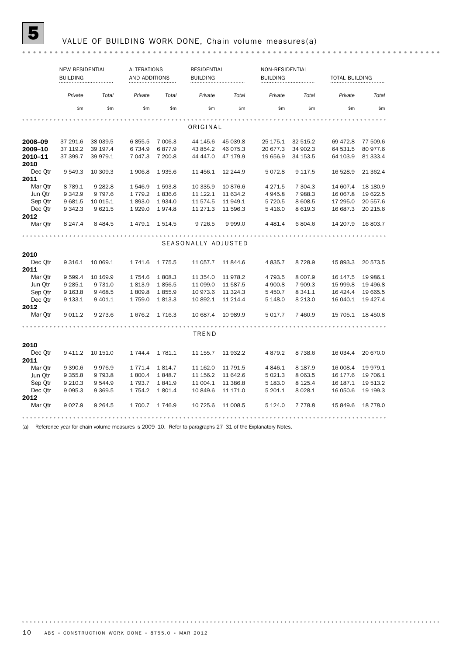# **5** VALUE OF BUILDING WORK DONE, Chain volume measures(a)

|                 | NEW RESIDENTIAL<br><b>BUILDING</b> |           | <b>ALTERATIONS</b><br>AND ADDITIONS |            | <b>RESIDENTIAL</b><br><b>BUILDING</b> |           | NON-RESIDENTIAL<br><b>BUILDING</b> |             | <b>TOTAL BUILDING</b> |           |
|-----------------|------------------------------------|-----------|-------------------------------------|------------|---------------------------------------|-----------|------------------------------------|-------------|-----------------------|-----------|
|                 | Private                            | Total     | Private                             | Total      | Private                               | Total     | Private                            | Total       | Private               | Total     |
|                 | \$m                                | \$m       | \$m                                 | \$m        | \$m                                   | \$m       | \$m                                | \$m\$       | \$m                   | \$m       |
|                 |                                    |           |                                     |            | ORIGINAL                              |           |                                    |             |                       |           |
| 2008–09         | 37 291.6                           | 38 039.5  | 6855.5                              | 7 006.3    | 44 145.6                              | 45 039.8  | 25 175.1                           | 32 515.2    | 69 472.8              | 77 509.6  |
| 2009–10         | 37 119.2                           | 39 197.4  | 6734.9                              | 6877.9     | 43 854.2                              | 46 075.3  | 20 677.3                           | 34 902.3    | 64 531.5              | 80 977.6  |
| 2010-11         | 37 399.7                           | 39 979.1  | 7 047.3                             | 7 200.8    | 44 44 7.0                             | 47 179.9  | 19 656.9                           | 34 153.5    | 64 103.9              | 81 333.4  |
| 2010            |                                    |           |                                     |            |                                       |           |                                    |             |                       |           |
| Dec Otr<br>2011 | 9 5 4 9.3                          | 10 309.3  | 1906.8                              | 1935.6     | 11 456.1                              | 12 244.9  | 5072.8                             | 9 1 1 7 .5  | 16 528.9              | 21 362.4  |
| Mar Otr         | 8 7 8 9.1                          | 9 2 8 2.8 | 1546.9                              | 1593.8     | 10 335.9                              | 10876.6   | 4 2 7 1 .5                         | 7 304.3     | 14 607.4              | 18 18 0.9 |
| Jun Otr         | 9 3 4 2.9                          | 9 7 9 7.6 | 1 7 7 9 . 2                         | 1836.6     | 11 122.1                              | 11 634.2  | 4945.8                             | 7988.3      | 16 067.8              | 19 622.5  |
| Sep Qtr         | 9 681.5                            | 10 015.1  | 1893.0                              | 1934.0     | 11 574.5                              | 11 949.1  | 5 7 2 0.5                          | 8 608.5     | 17 295.0              | 20 557.6  |
| Dec Otr         | 9 3 4 2.3                          |           |                                     | 1974.8     |                                       |           |                                    |             |                       | 20 215.6  |
| 2012            |                                    | 9621.5    | 1929.0                              |            | 11 271.3                              | 11 596.3  | 5 4 1 6.0                          | 8 6 19.3    | 16 687.3              |           |
| Mar Qtr         | 8 2 4 7 . 4                        | 8 4 8 4.5 | 1479.1                              | 1 5 1 4 .5 | 9 7 2 6.5                             | 9 9 9 9 0 | 4 4 8 1.4                          | 6804.6      | 14 207.9              | 16 803.7  |
|                 |                                    |           |                                     |            |                                       |           |                                    |             |                       |           |
| 2010            |                                    |           |                                     |            | SEASONALLY ADJUSTED                   |           |                                    |             |                       |           |
| Dec Otr         | 9 3 1 6 . 1                        | 10 069.1  | 1741.6                              | 1775.5     | 11 057.7                              | 11 844.6  | 4 8 3 5.7                          | 8728.9      | 15 893.3              | 20 573.5  |
| 2011            |                                    |           |                                     |            |                                       |           |                                    |             |                       |           |
| Mar Otr         | 9 5 9 9.4                          | 10 169.9  | 1754.6                              | 1808.3     | 11 354.0                              | 11 978.2  | 4 7 9 3 .5                         | 8 0 0 7.9   | 16 147.5              | 19 986.1  |
| Jun Qtr         | 9 2 8 5.1                          | 9 7 3 1.0 | 1813.9                              | 1856.5     | 11 099.0                              | 11 587.5  | 4 900.8                            | 7 909.3     | 15 999.8              | 19 49 6.8 |
| Sep Otr         | 9 1 6 3.8                          | 9468.5    | 1809.8                              | 1855.9     | 10 973.6                              | 11 324.3  | 5 4 5 0.7                          | 8 3 4 1.1   | 16 4 24.4             | 19 665.5  |
| Dec Otr         | 9 133.1                            | 9 4 0 1.1 | 1759.0                              | 1813.3     | 10 892.1                              | 11 214.4  | 5 1 4 8 .0                         | 8 2 1 3 . 0 | 16 040.1              | 19 427.4  |
| 2012            |                                    |           |                                     |            |                                       |           |                                    |             |                       |           |
| Mar Qtr         | 9 0 1 1.2                          | 9 2 7 3.6 | 1676.2                              | 1 7 1 6.3  | 10 687.4                              | 10 989.9  | 5 0 1 7 . 7                        | 7 460.9     | 15 705.1              | 18 450.8  |
|                 |                                    |           |                                     |            | <b>TREND</b>                          |           |                                    |             |                       |           |
| 2010            |                                    |           |                                     |            |                                       |           |                                    |             |                       |           |
| Dec Qtr         | 9 4 1 1.2                          | 10 151.0  | 1 744.4                             | 1 781.1    | 11 155.7                              | 11 932.2  | 4879.2                             | 8738.6      | 16 034.4              | 20 670.0  |
| 2011            |                                    |           |                                     |            |                                       |           |                                    |             |                       |           |
| Mar Otr         | 9 3 9 0.6                          | 9976.9    | 1 7 7 1 . 4                         | 1814.7     | 11 162.0                              | 11 791.5  | 4846.1                             | 8 1 8 7 .9  | 16 008.4              | 19 979.1  |
| Jun Otr         | 9 3 5 5.8                          | 9 7 9 3.8 | 1800.4                              | 1848.7     | 11 156.2                              | 11 642.6  | 5 0 2 1.3                          | 8 0 63.5    | 16 177.6              | 19 706.1  |
| Sep Qtr         | 9 2 1 0.3                          | 9544.9    | 1 7 9 3 . 7                         | 1841.9     | 11 004.1                              | 11 386.8  | 5 183.0                            | 8 1 2 5.4   | 16 187.1              | 19 513.2  |
| Dec Otr         | 9 0 9 5.3                          | 9 3 6 9.5 | 1 7 5 4 . 2                         | 1801.4     | 10 849.6                              | 11 171.0  | 5 201.1                            | 8 0 28.1    | 16 050.6              | 19 199.3  |
| 2012            |                                    |           |                                     |            |                                       |           |                                    |             |                       |           |
| Mar Otr         | 9 0 2 7 .9                         | 9 2 64.5  | 1 700.7                             | 1 746.9    | 10 725.6                              | 11 008.5  | 5 1 2 4 .0                         | 7 7 7 8.8   | 15 849.6              | 18 778.0  |

(a) Reference year for chain volume measures is 2009–10. Refer to paragraphs 27–31 of the Explanatory Notes.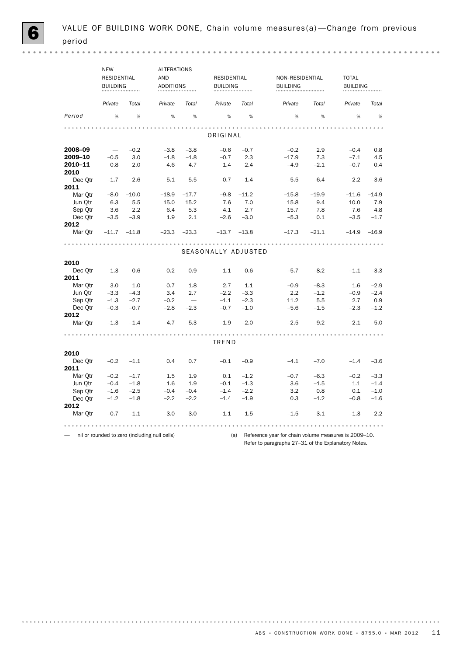|                    | <b>NEW</b>               |                  | ALTERATIONS                                   |                                 |                     |                  |                                                      |         |                 |         |
|--------------------|--------------------------|------------------|-----------------------------------------------|---------------------------------|---------------------|------------------|------------------------------------------------------|---------|-----------------|---------|
|                    | RESIDENTIAL              |                  | AND                                           |                                 | <b>RESIDENTIAL</b>  |                  | NON-RESIDENTIAL                                      |         | <b>TOTAL</b>    |         |
|                    | <b>BUILDING</b>          |                  | <b>ADDITIONS</b>                              |                                 | <b>BUILDING</b>     |                  | <b>BUILDING</b>                                      |         | <b>BUILDING</b> |         |
|                    |                          |                  |                                               |                                 |                     |                  |                                                      |         |                 |         |
|                    | Private                  | Total            | Private                                       | Total                           | Private             | Total            | Private                                              | Total   | Private         | Total   |
| Period             | %                        | %                | %                                             | %                               | %                   | %                | %                                                    | %       | %               | %       |
|                    |                          |                  |                                               |                                 |                     |                  |                                                      |         |                 |         |
|                    |                          |                  |                                               |                                 | ORIGINAL            |                  |                                                      |         |                 |         |
| 2008-09            | $\overline{\phantom{m}}$ | $-0.2$           | $-3.8$                                        | $-3.8$                          | $-0.6$              | $-0.7$           | $-0.2$                                               | 2.9     | $-0.4$          | 0.8     |
| 2009-10            | $-0.5$                   | 3.0              | $-1.8$                                        | $-1.8$                          | $-0.7$              | 2.3              | $-17.9$                                              | 7.3     | $-7.1$          | 4.5     |
| 2010-11<br>2010    | 0.8                      | 2.0              | 4.6                                           | 4.7                             | 1.4                 | 2.4              | $-4.9$                                               | $-2.1$  | $-0.7$          | 0.4     |
| Dec Otr            | $-1.7$                   | $-2.6$           | 5.1                                           | 5.5                             | $-0.7$              | $-1.4$           | $-5.5$                                               | $-6.4$  | $-2.2$          | $-3.6$  |
| 2011               |                          |                  |                                               |                                 |                     |                  |                                                      |         |                 |         |
| Mar Otr            | $-8.0$                   | $-10.0$          | $-18.9$                                       | $-17.7$                         | $-9.8$              | $-11.2$          | $-15.8$                                              | $-19.9$ | $-11.6$         | $-14.9$ |
| Jun Qtr            | 6.3                      | 5.5              | 15.0                                          | 15.2                            | 7.6                 | 7.0              | 15.8                                                 | 9.4     | 10.0            | 7.9     |
| Sep Qtr            | 3.6                      | 2.2              | 6.4                                           | 5.3                             | 4.1                 | 2.7              | 15.7                                                 | 7.8     | 7.6             | 4.8     |
| Dec Otr            | $-3.5$                   | $-3.9$           | 1.9                                           | 2.1                             | $-2.6$              | $-3.0$           | $-5.3$                                               | 0.1     | $-3.5$          | $-1.7$  |
| 2012               |                          |                  |                                               |                                 |                     |                  |                                                      |         |                 |         |
| Mar Otr            | $-11.7$                  | $-11.8$          | $-23.3$                                       | $-23.3$                         | $-13.7$             | $-13.8$          | $-17.3$                                              | $-21.1$ | $-14.9$         | $-16.9$ |
|                    |                          |                  |                                               |                                 |                     |                  |                                                      |         |                 |         |
|                    |                          |                  |                                               |                                 | SEASONALLY ADJUSTED |                  |                                                      |         |                 |         |
| 2010               |                          |                  |                                               |                                 |                     |                  |                                                      |         |                 |         |
| Dec Otr            | 1.3                      | 0.6              | 0.2                                           | 0.9                             | 1.1                 | 0.6              | $-5.7$                                               | $-8.2$  | $-1.1$          | $-3.3$  |
| 2011               |                          |                  |                                               |                                 |                     |                  |                                                      |         |                 |         |
| Mar Otr            | 3.0                      | 1.0              | 0.7                                           | 1.8                             | 2.7                 | 1.1              | $-0.9$                                               | $-8.3$  | 1.6             | $-2.9$  |
|                    |                          |                  | 3.4                                           |                                 | $-2.2$              |                  | 2.2                                                  | $-1.2$  | $-0.9$          | $-2.4$  |
| Jun Qtr            | $-3.3$<br>$-1.3$         | $-4.3$<br>$-2.7$ | $-0.2$                                        | 2.7<br>$\overline{\phantom{m}}$ | $-1.1$              | $-3.3$<br>$-2.3$ | 11.2                                                 | 5.5     | 2.7             | 0.9     |
| Sep Qtr<br>Dec Otr | $-0.3$                   | $-0.7$           | $-2.8$                                        | $-2.3$                          | $-0.7$              | $-1.0$           | $-5.6$                                               | $-1.5$  | $-2.3$          | $-1.2$  |
| 2012               |                          |                  |                                               |                                 |                     |                  |                                                      |         |                 |         |
| Mar Otr            | $-1.3$                   | $-1.4$           | $-4.7$                                        | $-5.3$                          | $-1.9$              | $-2.0$           | $-2.5$                                               | $-9.2$  | $-2.1$          | $-5.0$  |
|                    |                          |                  |                                               |                                 |                     |                  |                                                      |         |                 |         |
|                    |                          |                  |                                               |                                 | TREND               |                  |                                                      |         |                 |         |
| 2010               |                          |                  |                                               |                                 |                     |                  |                                                      |         |                 |         |
| Dec Qtr            | $-0.2$                   | $-1.1$           | 0.4                                           | 0.7                             | $-0.1$              | $-0.9$           | $-4.1$                                               | $-7.0$  | $-1.4$          | $-3.6$  |
| 2011               |                          |                  |                                               |                                 |                     |                  |                                                      |         |                 |         |
| Mar Otr            | $-0.2$                   | $-1.7$           | 1.5                                           | 1.9                             | 0.1                 | $-1.2$           | $-0.7$                                               | $-6.3$  | $-0.2$          | $-3.3$  |
| Jun Qtr            | $-0.4$                   | $-1.8$           | 1.6                                           | 1.9                             | $-0.1$              | $-1.3$           | 3.6                                                  | $-1.5$  | 1.1             | $-1.4$  |
| Sep Qtr            | $-1.6$                   | $-2.5$           | $-0.4$                                        | $-0.4$                          | $-1.4$              | $-2.2$           | 3.2                                                  | 0.8     | 0.1             | $-1.0$  |
| Dec Qtr            | $-1.2$                   | $-1.8$           | $-2.2$                                        | $-2.2$                          | $-1.4$              | $-1.9$           | 0.3                                                  | $-1.2$  | $-0.8$          | $-1.6$  |
| 2012               |                          |                  |                                               |                                 |                     |                  |                                                      |         |                 |         |
| Mar Otr            | $-0.7$                   | $-1.1$           | $-3.0$                                        | $-3.0$                          | $-1.1$              | $-1.5$           | $-1.5$                                               | $-3.1$  | $-1.3$          | $-2.2$  |
|                    |                          |                  |                                               |                                 |                     |                  |                                                      |         |                 |         |
|                    |                          |                  | nil or rounded to zero (including null cells) |                                 | (a)                 |                  | Reference year for chain volume measures is 2009-10. |         |                 |         |

Refer to paragraphs 27–31 of the Explanatory Notes.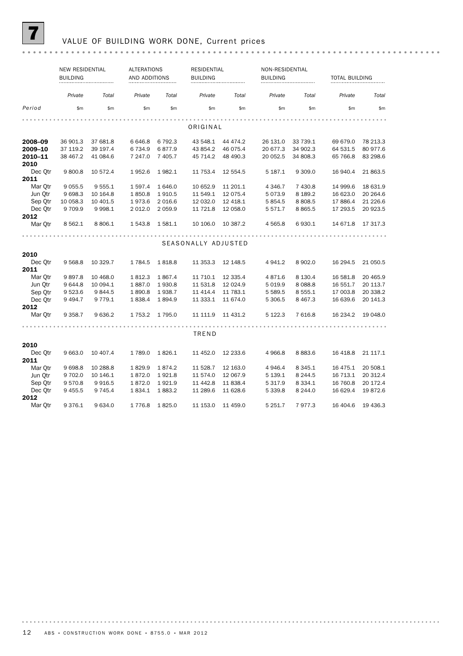

## 7 VALUE OF BUILDING WORK DONE, Current prices

|                 | <b>NEW RESIDENTIAL</b><br><b>BUILDING</b> |             | <b>ALTERATIONS</b><br>AND ADDITIONS |           | <b>RESIDENTIAL</b><br><b>BUILDING</b> |           | NON-RESIDENTIAL<br><b>BUILDING</b> | <b>TOTAL BUILDING</b> |           |          |
|-----------------|-------------------------------------------|-------------|-------------------------------------|-----------|---------------------------------------|-----------|------------------------------------|-----------------------|-----------|----------|
|                 | Private                                   | Total       | Private                             | Total     | Private                               | Total     | Private                            | Total                 | Private   | Total    |
| Period          | \$m                                       | \$m         | \$m                                 | \$m       | \$m                                   | \$m       | \$m                                | \$m                   | \$m       | \$m      |
|                 |                                           |             |                                     |           |                                       |           |                                    |                       |           |          |
|                 |                                           |             |                                     |           | ORIGINAL                              |           |                                    |                       |           |          |
| 2008-09         | 36 901.3                                  | 37 681.8    | 6646.8                              | 6 7 9 2.3 | 43 548.1                              | 44 474.2  | 26 131.0                           | 33 739.1              | 69 679.0  | 78 213.3 |
| 2009-10         | 37 119.2                                  | 39 197.4    | 6734.9                              | 6877.9    | 43 854.2                              | 46 075.4  | 20 677.3                           | 34 902.3              | 64 531.5  | 80 977.6 |
| 2010-11<br>2010 | 38 467.2                                  | 41 084.6    | 7 247.0                             | 7 405.7   | 45 714.2                              | 48 490.3  | 20 052.5                           | 34 808.3              | 65 766.8  | 83 298.6 |
| Dec Otr         | 9800.8                                    | 10 572.4    | 1952.6                              | 1982.1    | 11 753.4                              | 12 554.5  | 5 187.1                            | 9 309.0               | 16 940.4  | 21 863.5 |
| 2011            |                                           |             |                                     |           |                                       |           |                                    |                       |           |          |
| Mar Otr         | 9 0 5 5.5                                 | 9 5 5 5 1   | 1597.4                              | 1646.0    | 10 652.9                              | 11 201.1  | 4 3 4 6.7                          | 7 430.8               | 14 999.6  | 18 631.9 |
| Jun Otr         | 9698.3                                    | 10 164.8    | 1850.8                              | 1910.5    | 11 549.1                              | 12 075.4  | 5073.9                             | 8 189.2               | 16 623.0  | 20 264.6 |
| Sep Qtr         | 10 058.3                                  | 10 401.5    | 1973.6                              | 2 0 16.6  | 12 032.0                              | 12 4 18.1 | 5854.5                             | 8 8 0 8.5             | 17886.4   | 21 226.6 |
| Dec Otr         | 9709.9                                    | 9 9 9 8.1   | 2 0 1 2.0                           | 2 0 5 9.9 | 11 721.8                              | 12 058.0  | 5 5 7 1 . 7                        | 8 8 6 5.5             | 17 293.5  | 20 923.5 |
| 2012            |                                           |             |                                     |           |                                       |           |                                    |                       |           |          |
| Mar Qtr         | 8 5 6 2.1                                 | 8 806.1     | 1 543.8                             | 1 581.1   | 10 106.0                              | 10 387.2  | 4 5 6 5.8                          | 6930.1                | 14 671.8  | 17 317.3 |
|                 |                                           |             |                                     |           |                                       |           |                                    |                       |           |          |
|                 |                                           |             |                                     |           | SEASONALLY ADJUSTED                   |           |                                    |                       |           |          |
| 2010            |                                           |             |                                     |           |                                       |           |                                    |                       |           |          |
| Dec Qtr         | 9 5 68.8                                  | 10 329.7    | 1784.5                              | 1818.8    | 11 353.3                              | 12 148.5  | 4941.2                             | 8 902.0               | 16 294.5  | 21 050.5 |
| 2011            |                                           |             |                                     |           |                                       |           |                                    |                       |           |          |
| Mar Otr         | 9897.8                                    | 10 468.0    | 1812.3                              | 1867.4    | 11 710.1                              | 12 335.4  | 4871.6                             | 8 1 3 0 . 4           | 16 581.8  | 20 465.9 |
| Jun Qtr         | 9644.8                                    | 10 094.1    | 1887.0                              | 1930.8    | 11 531.8                              | 12 024.9  | 5 0 1 9.9                          | 8 0 8 8.8             | 16 551.7  | 20 113.7 |
| Sep Otr         | 9523.6                                    | 9844.5      | 1890.8                              | 1938.7    | 11 414.4                              | 11 783.1  | 5 589.5                            | 8 5 5 5 . 1           | 17 003.8  | 20 338.2 |
| Dec Otr         | 9494.7                                    | 9 7 7 9 . 1 | 1838.4                              | 1894.9    | 11 333.1                              | 11 674.0  | 5 306.5                            | 8 4 6 7 . 3           | 16 639.6  | 20 141.3 |
| 2012            |                                           |             |                                     |           |                                       |           |                                    |                       |           |          |
| Mar Otr         | 9 3 5 8.7                                 | 9636.2      | 1753.2                              | 1 7 9 5.0 | 11 111.9                              | 11 431.2  | 5 1 2 2.3                          | 7 616.8               | 16 234.2  | 19 048.0 |
|                 |                                           |             |                                     |           | TREND                                 |           |                                    |                       |           |          |
|                 |                                           |             |                                     |           |                                       |           |                                    |                       |           |          |
| 2010            |                                           |             |                                     |           |                                       |           |                                    |                       |           |          |
| Dec Qtr         | 9 6 63.0                                  | 10 407.4    | 1789.0                              | 1826.1    | 11 452.0                              | 12 233.6  | 4 9 6 6.8                          | 8883.6                | 16 4 18.8 | 21 117.1 |
| 2011            |                                           |             |                                     |           |                                       |           |                                    |                       |           |          |
| Mar Otr         | 9698.8                                    | 10 288.8    | 1829.9                              | 1874.2    | 11 528.7                              | 12 163.0  | 4 9 4 6.4                          | 8 3 4 5 . 1           | 16 475.1  | 20 508.1 |
| Jun Otr         | 9 702.0                                   | 10 146.1    | 1872.0                              | 1921.8    | 11 574.0                              | 12 067.9  | 5 139.1                            | 8 2 4 4.5             | 16 713.1  | 20 312.4 |
| Sep Qtr         | 9570.8                                    | 9916.5      | 1872.0                              | 1921.9    | 11 442.8                              | 11 838.4  | 5 3 1 7 .9                         | 8 3 3 4 . 1           | 16 760.8  | 20 172.4 |
| Dec Otr         | 9455.5                                    | 9 7 4 5.4   | 1834.1                              | 1883.2    | 11 289.6                              | 11 628.6  | 5 3 3 9.8                          | 8 244.0               | 16 629.4  | 19872.6  |
| 2012            |                                           |             |                                     |           |                                       |           |                                    |                       |           |          |
| Mar Otr         | 9376.1                                    | 9634.0      | 1 7 7 6 .8                          | 1825.0    | 11 153.0                              | 11 459.0  | 5 251.7                            | 7977.3                | 16 404.6  | 19 436.3 |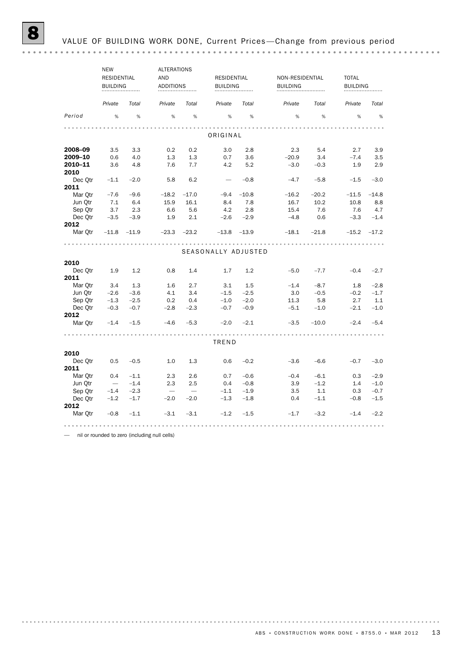|                 | <b>NEW</b><br><b>RESIDENTIAL</b><br><b>BUILDING</b> |        | AND                      | <b>ALTERATIONS</b><br><b>ADDITIONS</b> |                     | <b>RESIDENTIAL</b><br><b>BUILDING</b> |         | NON-RESIDENTIAL<br><b>BUILDING</b> | <b>TOTAL</b> | <b>BUILDING</b> |  |
|-----------------|-----------------------------------------------------|--------|--------------------------|----------------------------------------|---------------------|---------------------------------------|---------|------------------------------------|--------------|-----------------|--|
|                 | Private                                             | Total  | Private                  | Total                                  | Private             | Total                                 | Private | Total                              | Private      | Total           |  |
| Period          | %                                                   | %      | %                        | %                                      | %                   | %                                     | %       | %                                  | %            | %               |  |
|                 |                                                     |        |                          |                                        | ORIGINAL            |                                       |         |                                    |              |                 |  |
| 2008-09         | 3.5                                                 | 3.3    | 0.2                      | 0.2                                    | 3.0                 | 2.8                                   | 2.3     | 5.4                                | 2.7          | 3.9             |  |
| 2009-10         | 0.6                                                 | 4.0    | 1.3                      | 1.3                                    | 0.7                 | 3.6                                   | $-20.9$ | 3.4                                | $-7.4$       | 3.5             |  |
| 2010-11         | 3.6                                                 | 4.8    | 7.6                      | 7.7                                    | 4.2                 | 5.2                                   | $-3.0$  | $-0.3$                             | 1.9          | 2.9             |  |
| 2010            |                                                     |        |                          |                                        |                     |                                       |         |                                    |              |                 |  |
| Dec Otr         | $-1.1$                                              | $-2.0$ | 5.8                      | 6.2                                    |                     | $-0.8$                                | $-4.7$  | $-5.8$                             | $-1.5$       | $-3.0$          |  |
| 2011            |                                                     |        |                          |                                        |                     |                                       |         |                                    |              |                 |  |
| Mar Otr         | $-7.6$                                              | $-9.6$ | $-18.2$                  | $-17.0$                                | $-9.4$              | $-10.8$                               | $-16.2$ | $-20.2$                            | $-11.5$      | $-14.8$         |  |
| Jun Otr         | 7.1                                                 | 6.4    | 15.9                     | 16.1                                   | 8.4                 | 7.8                                   | 16.7    | 10.2                               | 10.8         | 8.8             |  |
| Sep Qtr         | 3.7                                                 | 2.3    | 6.6                      | 5.6                                    | 4.2                 | 2.8                                   | 15.4    | 7.6                                | 7.6          | 4.7             |  |
| Dec Otr         | $-3.5$                                              | $-3.9$ | 1.9                      | 2.1                                    | $-2.6$              | $-2.9$                                | $-4.8$  | 0.6                                | $-3.3$       | $-1.4$          |  |
| 2012            |                                                     |        |                          |                                        |                     |                                       |         |                                    |              |                 |  |
| Mar Otr         | $-11.8$ $-11.9$                                     |        |                          | $-23.3 -23.2$                          |                     | $-13.8$ $-13.9$                       | $-18.1$ | $-21.8$                            | $-15.2$      | $-17.2$         |  |
|                 |                                                     |        |                          | .                                      | .                   |                                       | .       |                                    |              |                 |  |
|                 |                                                     |        |                          |                                        | SEASONALLY ADJUSTED |                                       |         |                                    |              |                 |  |
| 2010            |                                                     |        |                          |                                        |                     |                                       |         |                                    |              |                 |  |
| Dec Otr         | 1.9                                                 | 1.2    | 0.8                      | 1.4                                    | 1.7                 | 1.2                                   | $-5.0$  | $-7.7$                             | $-0.4$       | $-2.7$          |  |
| 2011            |                                                     |        |                          |                                        |                     |                                       |         |                                    |              |                 |  |
| Mar Otr         | 3.4                                                 | 1.3    | 1.6                      | 2.7                                    | 3.1                 | 1.5                                   | $-1.4$  | $-8.7$                             | 1.8          | $-2.8$          |  |
| Jun Qtr         | $-2.6$                                              | $-3.6$ | 4.1                      | 3.4                                    | $-1.5$              | $-2.5$                                | 3.0     | $-0.5$                             | $-0.2$       | $-1.7$          |  |
| Sep Otr         | $-1.3$                                              | $-2.5$ | 0.2                      | 0.4                                    | $-1.0$              | $-2.0$                                | 11.3    | 5.8                                | 2.7          | 1.1             |  |
| Dec Otr         | $-0.3$                                              | $-0.7$ | $-2.8$                   | $-2.3$                                 | $-0.7$              | $-0.9$                                | $-5.1$  | $-1.0$                             | $-2.1$       | $-1.0$          |  |
| 2012            |                                                     |        |                          |                                        |                     |                                       |         |                                    |              |                 |  |
| Mar Otr         | $-1.4$                                              | $-1.5$ | $-4.6$                   | $-5.3$                                 | $-2.0$              | $-2.1$                                | $-3.5$  | $-10.0$                            | $-2.4$       | $-5.4$          |  |
|                 |                                                     |        |                          |                                        | TREND               |                                       |         |                                    |              |                 |  |
|                 |                                                     |        |                          |                                        |                     |                                       |         |                                    |              |                 |  |
| 2010            |                                                     |        |                          |                                        |                     |                                       |         |                                    |              |                 |  |
| Dec Otr<br>2011 | 0.5                                                 | $-0.5$ | 1.0                      | 1.3                                    | 0.6                 | $-0.2$                                | $-3.6$  | $-6.6$                             | $-0.7$       | $-3.0$          |  |
| Mar Otr         | 0.4                                                 | $-1.1$ | 2.3                      | 2.6                                    | 0.7                 | $-0.6$                                | $-0.4$  | $-6.1$                             | 0.3          | $-2.9$          |  |
| Jun Otr         | $\hspace{0.1mm}$                                    | $-1.4$ | 2.3                      | 2.5                                    | 0.4                 | $-0.8$                                | 3.9     | $-1.2$                             | 1.4          | $-1.0$          |  |
| Sep Qtr         | $-1.4$                                              | $-2.3$ | $\overline{\phantom{m}}$ | $\overline{\phantom{m}}$               | $-1.1$              | $-1.9$                                | 3.5     | 1.1                                | 0.3          | $-0.7$          |  |
| Dec Otr         | $-1.2$                                              | $-1.7$ | $-2.0$                   | $-2.0$                                 | $-1.3$              | $-1.8$                                | 0.4     | $-1.1$                             | $-0.8$       | $-1.5$          |  |
| 2012            |                                                     |        |                          |                                        |                     |                                       |         |                                    |              |                 |  |
| Mar Otr         | $-0.8$                                              | $-1.1$ | $-3.1$                   | $-3.1$                                 | $-1.2$              | $-1.5$                                | $-1.7$  | $-3.2$                             | $-1.4$       | $-2.2$          |  |
|                 |                                                     |        |                          |                                        |                     |                                       |         |                                    |              |                 |  |

— nil or rounded to zero (including null cells)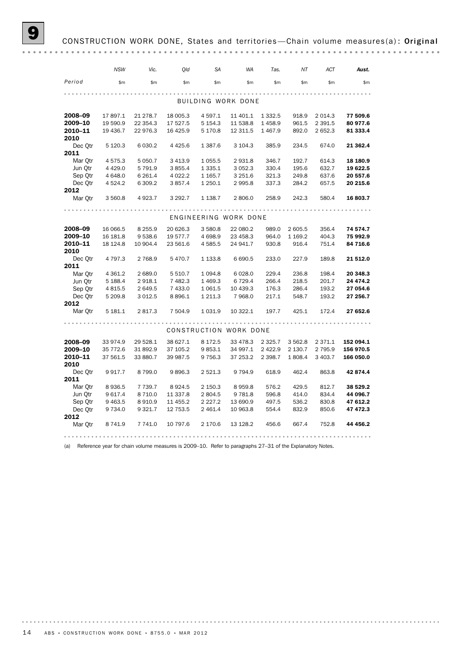## CONSTRUCTION WORK DONE, States and territories-Chain volume measures(a): Original

|                 | <b>NSW</b>  | Vic.      | Qld       | <b>SA</b>   | <b>WA</b>              | Tas.        | NT        | <b>ACT</b>  | Aust.     |
|-----------------|-------------|-----------|-----------|-------------|------------------------|-------------|-----------|-------------|-----------|
| Period          | \$m         | \$m\$     | \$m\$     | \$m         | \$m\$                  | \$m\$       | \$m       | \$m         | \$m\$     |
|                 |             |           |           |             |                        |             |           |             |           |
|                 |             |           |           |             | BUILDING WORK DONE     |             |           |             |           |
| 2008-09         | 17 897.1    | 21 278.7  | 18 005.3  | 4 5 9 7 . 1 | 11 401.1               | 1 3 3 2.5   | 918.9     | 2 0 1 4.3   | 77 509.6  |
| 2009-10         | 19 590.9    | 22 354.3  | 17 527.5  | 5 1 5 4 . 3 | 11 538.8               | 1458.9      | 961.5     | 2 3 9 1.5   | 80 977.6  |
| 2010-11         | 19 436.7    | 22 976.3  | 16 4 25.9 | 5 170.8     | 12 311.5               | 1 4 6 7 .9  | 892.0     | 2 652.3     | 81 333.4  |
| 2010            |             |           |           |             |                        |             |           |             |           |
| Dec Otr<br>2011 | 5 1 2 0.3   | 6 0 3 0.2 | 4 4 2 5.6 | 1 3 8 7 . 6 | 3 104.3                | 385.9       | 234.5     | 674.0       | 21 362.4  |
| Mar Otr         | 4 5 7 5 . 3 | 5 0 5 0.7 | 3 4 1 3.9 | 1 0 5 5.5   | 2 9 3 1.8              | 346.7       | 192.7     | 614.3       | 18 180.9  |
| Jun Otr         | 4 4 2 9.0   | 5 791.9   | 3 8 5 5.4 | 1 3 3 5 . 1 | 3 0 5 2.3              | 330.4       | 195.6     | 632.7       | 19 622.5  |
| Sep Otr         | 4 648.0     | 6 2 6 1.4 | 4 0 22.2  | 1 1 65.7    | 3 251.6                | 321.3       | 249.8     | 637.6       | 20 557.6  |
| Dec Otr         | 4 5 24.2    | 6 309.2   | 3857.4    | 1 250.1     | 2 9 9 5.8              | 337.3       | 284.2     | 657.5       | 20 215.6  |
| 2012            |             |           |           |             |                        |             |           |             |           |
| Mar Qtr         | 3 560.8     | 4 9 23.7  | 3 2 9 2.7 | 1 1 38.7    | 2 806.0                | 258.9       | 242.3     | 580.4       | 16 803.7  |
|                 |             |           |           |             |                        |             |           |             |           |
|                 |             |           |           |             | ENGINEERING WORK DONE  |             |           |             |           |
| 2008-09         | 16 066.5    | 8 2 5 5.9 | 20 626.3  | 3 580.8     | 22 080.2               | 989.0       | 2 605.5   | 356.4       | 74 574.7  |
| 2009-10         | 16 181.8    | 9 5 38.6  | 19 577.7  | 4 6 98.9    | 23 458.3               | 964.0       | 1 1 69.2  | 404.3       | 75 992.9  |
| 2010-11         | 18 124.8    | 10 904.4  | 23 561.6  | 4 5 8 5.5   | 24 941.7               | 930.8       | 916.4     | 751.4       | 84 716.6  |
| 2010            |             |           |           |             |                        |             |           |             |           |
| Dec Otr         | 4 7 9 7 . 3 | 2 768.9   | 5470.7    | 1 1 3 3.8   | 6 6 9 0.5              | 233.0       | 227.9     | 189.8       | 21 512.0  |
| 2011            |             |           |           |             |                        |             |           |             |           |
| Mar Otr         | 4 3 6 1.2   | 2 689.0   | 5 5 10.7  | 1 0 9 4.8   | 6 0 28.0               | 229.4       | 236.8     | 198.4       | 20 348.3  |
| Jun Qtr         | 5 188.4     | 2 918.1   | 7482.3    | 1 4 6 9.3   | 6 7 2 9.4              | 266.4       | 218.5     | 201.7       | 24 474.2  |
| Sep Qtr         | 4 8 1 5 .5  | 2 649.5   | 7 433.0   | 1 0 6 1.5   | 10 439.3               | 176.3       | 286.4     | 193.2       | 27 054.6  |
| Dec Otr         | 5 209.8     | 3 0 1 2.5 | 8896.1    | 1 211.3     | 7 968.0                | 217.1       | 548.7     | 193.2       | 27 256.7  |
| 2012            |             |           |           |             |                        |             |           |             |           |
| Mar Qtr         | 5 181.1     | 2 817.3   | 7 504.9   | 1 0 3 1.9   | 10 322.1               | 197.7       | 425.1     | 172.4       | 27 652.6  |
|                 |             |           |           |             |                        |             |           |             |           |
|                 |             |           |           |             | CONSTRUCTION WORK DONE |             |           |             |           |
| 2008-09         | 33 974.9    | 29 528.1  | 38 627.1  | 8 172.5     | 33 478.3               | 2 3 2 5 . 7 | 3 5 6 2.8 | 2 3 7 1 . 1 | 152 094.1 |
| 2009-10         | 35 772.6    | 31 892.9  | 37 105.2  | 9853.1      | 34 997.1               | 2 4 2 2.9   | 2 130.7   | 2 7 9 5.9   | 156 970.5 |
| 2010-11         | 37 561.5    | 33 880.7  | 39 987.5  | 9 7 5 6.3   | 37 253.2               | 2 3 9 8.7   | 1808.4    | 3 4 0 3.7   | 166 050.0 |
| 2010            |             |           |           |             |                        |             |           |             |           |
| Dec Qtr         | 9917.7      | 8 7 9 9.0 | 9896.3    | 2 5 2 1.3   | 9 7 9 4.9              | 618.9       | 462.4     | 863.8       | 42 874.4  |
| 2011            |             |           |           |             |                        |             |           |             |           |
| Mar Otr         | 8936.5      | 7 739.7   | 8924.5    | 2 150.3     | 8959.8                 | 576.2       | 429.5     | 812.7       | 38 529.2  |
| Jun Otr         | 9 617.4     | 8 7 1 0.0 | 11 337.8  | 2 804.5     | 9 7 8 1.8              | 596.8       | 414.0     | 834.4       | 44 096.7  |
| Sep Qtr         | 9 4 6 3.5   | 8910.9    | 11 455.2  | 2 2 2 7 . 2 | 13 690.9               | 497.5       | 536.2     | 830.8       | 47 612.2  |
| Dec Otr         | 9 7 3 4 .0  | 9 3 2 1.7 | 12 753.5  | 2 4 6 1.4   | 10 963.8               | 554.4       | 832.9     | 850.6       | 47 472.3  |
| 2012<br>Mar Otr | 8 741.9     | 7 741.0   | 10 797.6  | 2 170.6     | 13 128.2               | 456.6       | 667.4     | 752.8       | 44 456.2  |
|                 |             |           |           |             |                        |             |           |             |           |

(a) Reference year for chain volume measures is 2009–10. Refer to paragraphs 27–31 of the Explanatory Notes.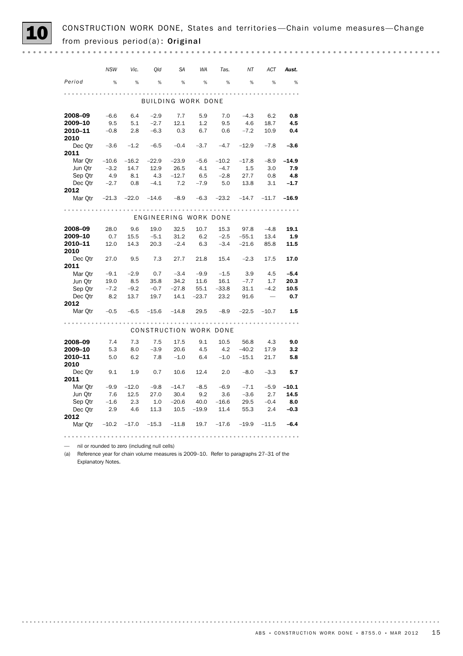CONSTRUCTION WORK DONE, States and territories—Chain volume measures—Change<br>from previous period(a): Original

*NSW Vic. Qld SA WA Tas. NT ACT Aust. Period* % % % % % % % % % BUILDING WORK DONE 2008–09 −6.6 6.4 −2.9 7.7 5.9 7.0 −4.3 6.2 0.8<br>2009–10 9.5 5.1 −2.7 12.1 1.2 9.5 4.6 18.7 4.5<br>2010–11 −0.8 2.8 −6.3 0.3 6.7 0.6 −7.2 10.9 0.4 **2009–10** 9.5 5.1 –2.7 12.1 1.2 9.5 4.6 18.7 **4.5** 2010–11 –0.8 2.8 –6.3 0.3 6.7 0.6 –7.2 10.9 0.4 2010 Dec Qtr –3.6 –1.2 –6.5 –0.4 –3.7 –4.7 –12.9 –7.8 –3.6 2011 Mar Qtr –10.6 –16.2 –22.9 –23.9 –5.6 –10.2 –17.8 –8.9 –14.9 Jun Qtr -3.2 14.7 12.9 26.5 4.1 -4.7 1.5 3.0 7.9<br>Sep Qtr 4.9 8.1 4.3 -12.7 6.5 -2.8 27.7 0.8 4.8 Sep Qtr 4.9 8.1 4.3 -12.7 6.5 -2.8 27.7 0.8 **4.8** Dec Qtr -2.7 0.8 -4.1 7.2 -7.9 5.0 13.8 3.1 **-1.7** 2012 Mar Qtr –21.3 –22.0 –14.6 –8.9 –6.3 –23.2 –14.7 –11.7 –16.9 ENGINEERING WORK DONE 2008–09 28.0 9.6 19.0 32.5 10.7 15.3 97.8 –4.8 19.1 **2009–10** 0.7 15.5 −5.1 31.2 6.2 −2.5 −55.1 13.4 **1.9**<br>**2010–11** 12.0 14.3 20.3 −2.4 6.3 −3.4 −21.6 85.8 **11.5** 2010–11 12.0 14.3 20.3 –2.4 6.3 –3.4 –21.6 85.8 11.5 2010 Dec Qtr 27.0 9.5 7.3 27.7 21.8 15.4 -2.3 17.5 17.0 2011 Mar Qtr –9.1 –2.9 0.7 –3.4 –9.9 –1.5 3.9 4.5 –5.4 Jun Qtr 19.0 8.5 35.8 34.2 11.6 16.1 -7.7 1.7 20.3 Sep Qtr -7.2 -9.2 -0.7 -27.8 55.1 -33.8 31.1 -4.2 **10.5** Dec Qtr 8.2 13.7 19.7 14.1 –23.7 23.2 91.6 – **0.7** 2012 Mar Otr -0.5 -6.5 -15.6 -14.8 29.5 -8.9 -22.5 -10.7 **1.5** CONSTRUCTION WORK DONE 2008–09 7.4 7.3 7.5 17.5 9.1 10.5 56.8 4.3 9.0 2009–10 5.3 8.0 –3.9 20.6 4.5 4.2 –40.2 17.9 3.2 2010–11 5.0 6.2 7.8 –1.0 6.4 –1.0 –15.1 21.7 5.8 2010 Dec Otr 9.1 1.9 0.7 10.6 12.4 2.0 -8.0 -3.3 **5.7** 2011 Mar Qtr -9.9 -12.0 -9.8 -14.7 -8.5 -6.9 -7.1 -5.9 -10.1 Jun Qtr 7.6 12.5 27.0 30.4 9.2 3.6 -3.6 2.7 **14.5** Sep Qtr -1.6 2.3 1.0 -20.6 40.0 -16.6 29.5 -0.4 **8.0** 2.9 4.6 11.3 10.5 –19.9 11.4 55.3 2.4 **–0.3** Dec Qtr<br>2012 Mar Qtr –10.2 –17.0 –15.3 –11.8 19.7 –17.6 –19.9 –11.5 –6.4

— nil or rounded to zero (including null cells)

(a) Reference year for chain volume measures is 2009–10. Refer to paragraphs 27–31 of the Explanatory Notes.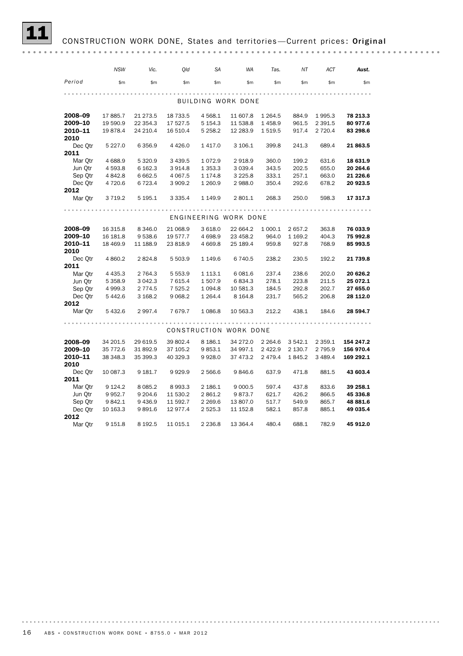## CONSTRUCTION WORK DONE, States and territories-Current prices: Original

|                 | <b>NSW</b>  | Vic.      | Old         | <b>SA</b>   | <b>WA</b>              | Tas.        | NΤ       | ACT       | Aust.     |
|-----------------|-------------|-----------|-------------|-------------|------------------------|-------------|----------|-----------|-----------|
| Period          | \$m\$       | \$m\$     | \$m\$       | \$m         | \$m\$                  | \$m\$       | \$m      | \$m       | \$m\$     |
|                 |             |           |             |             |                        |             |          |           |           |
|                 |             |           |             |             | BUILDING WORK DONE     |             |          |           |           |
| 2008-09         | 17 885.7    | 21 273.5  | 18 733.5    | 4 5 68.1    | 11 607.8               | 1 2 6 4 .5  | 884.9    | 1995.3    | 78 213.3  |
| 2009-10         | 19 590.9    | 22 354.3  | 17 527.5    | 5 1 5 4 . 3 | 11 538.8               | 1458.9      | 961.5    | 2 3 9 1.5 | 80 977.6  |
| 2010-11         | 19878.4     | 24 210.4  | 16 510.4    | 5 2 5 8.2   | 12 283.9               | 1 519.5     | 917.4    | 2 7 2 0.4 | 83 298.6  |
| 2010            |             | 6 3 5 6.9 | 4 4 2 6.0   |             | 3 106.1                |             |          | 689.4     |           |
| Dec Otr<br>2011 | 5 2 2 7 .0  |           |             | 1417.0      |                        | 399.8       | 241.3    |           | 21863.5   |
| Mar Otr         | 4 6 8 8.9   | 5 3 2 0.9 | 3 4 3 9.5   | 1 0 7 2.9   | 2918.9                 | 360.0       | 199.2    | 631.6     | 18 631.9  |
| Jun Qtr         | 4 593.8     | 6 162.3   | 3914.8      | 1 3 5 3 . 3 | 3 0 3 9.4              | 343.5       | 202.5    | 655.0     | 20 264.6  |
| Sep Qtr         | 4 842.8     | 6 6 6 2.5 | 4 0 67.5    | 1 174.8     | 3 2 2 5.8              | 333.1       | 257.1    | 663.0     | 21 226.6  |
| Dec Otr         | 4 720.6     | 6 7 2 3.4 | 3 909.2     | 1 260.9     | 2 988.0                | 350.4       | 292.6    | 678.2     | 20 923.5  |
| 2012            |             |           |             |             |                        |             |          |           |           |
| Mar Qtr         | 3 7 1 9.2   | 5 195.1   | 3 3 3 5 . 4 | 1 149.9     | 2 801.1                | 268.3       | 250.0    | 598.3     | 17 317.3  |
|                 |             |           |             |             |                        |             |          |           |           |
|                 |             |           |             |             | ENGINEERING WORK DONE  |             |          |           |           |
| 2008-09         | 16 315.8    | 8 3 4 6.0 | 21 068.9    | 3 618.0     | 22 664.2               | 1 000.1     | 2657.2   | 363.8     | 76 033.9  |
| 2009-10         | 16 181.8    | 9538.6    | 19 577.7    | 4 6 98.9    | 23 458.2               | 964.0       | 1 1 69.2 | 404.3     | 75 992.8  |
| 2010-11         | 18 469.9    | 11 188.9  | 23 818.9    | 4 6 6 9.8   | 25 189.4               | 959.8       | 927.8    | 768.9     | 85 993.5  |
| 2010            |             |           |             |             |                        |             |          |           |           |
| Dec Otr         | 4 8 6 0.2   | 2824.8    | 5 503.9     | 1 149.6     | 6 740.5                | 238.2       | 230.5    | 192.2     | 21 739.8  |
| 2011            |             |           |             |             |                        |             |          |           |           |
| Mar Otr         | 4 4 3 5 . 3 | 2 7 64.3  | 5 5 5 3.9   | 1 1 1 3 . 1 | 6 0 8 1.6              | 237.4       | 238.6    | 202.0     | 20 626.2  |
| Jun Qtr         | 5 3 5 8.9   | 3 042.3   | 7 615.4     | 1 507.9     | 6834.3                 | 278.1       | 223.8    | 211.5     | 25 072.1  |
| Sep Qtr         | 4 9 9 9.3   | 2 7 7 4.5 | 7 5 2 5.2   | 1 0 9 4.8   | 10 581.3               | 184.5       | 292.8    | 202.7     | 27 655.0  |
| Dec Otr         | 5 4 4 2.6   | 3 168.2   | 9 0 68.2    | 1 2 6 4 . 4 | 8 1 6 4 .8             | 231.7       | 565.2    | 206.8     | 28 112.0  |
| 2012<br>Mar Qtr | 5432.6      | 2 9 9 7.4 | 7679.7      | 1 086.8     | 10 563.3               | 212.2       | 438.1    | 184.6     | 28 594.7  |
|                 |             |           |             |             |                        |             |          |           |           |
|                 |             |           |             |             |                        |             |          |           |           |
|                 |             |           |             |             | CONSTRUCTION WORK DONE |             |          |           |           |
| 2008-09         | 34 201.5    | 29 619.5  | 39 802.4    | 8 186.1     | 34 272.0               | 2 2 6 4 . 6 | 3 542.1  | 2 3 5 9.1 | 154 247.2 |
| 2009-10         | 35 772.6    | 31 892.9  | 37 105.2    | 9853.1      | 34 997.1               | 2 4 2 2.9   | 2 130.7  | 2 7 9 5.9 | 156 970.4 |
| 2010-11         | 38 348.3    | 35 399.3  | 40 329.3    | 9928.0      | 37 473.2               | 2 4 7 9 . 4 | 1845.2   | 3 4 8 9.4 | 169 292.1 |
| 2010            |             |           |             |             |                        |             |          |           |           |
| Dec Qtr         | 10 087.3    | 9 181.7   | 9929.9      | 2 566.6     | 9846.6                 | 637.9       | 471.8    | 881.5     | 43 603.4  |
| 2011            |             |           |             |             |                        |             |          |           |           |
| Mar Otr         | 9 1 2 4 . 2 | 8 0 8 5.2 | 8993.3      | 2 186.1     | 9 0 0 0.5              | 597.4       | 437.8    | 833.6     | 39 258.1  |
| Jun Otr         | 9 9 5 2.7   | 9 204.6   | 11 530.2    | 2 861.2     | 9873.7                 | 621.7       | 426.2    | 866.5     | 45 336.8  |
| Sep Qtr         | 9842.1      | 9 4 3 6.9 | 11 592.7    | 2 2 6 9.6   | 13 807.0               | 517.7       | 549.9    | 865.7     | 48 881.6  |
| Dec Qtr         | 10 163.3    | 9891.6    | 12 977.4    | 2 5 2 5 . 3 | 11 152.8               | 582.1       | 857.8    | 885.1     | 49 035.4  |
| 2012            |             |           |             |             |                        |             |          |           |           |
| Mar Otr         | 9 151.8     | 8 1 9 2.5 | 11 015.1    | 2 2 3 6.8   | 13 364.4               | 480.4       | 688.1    | 782.9     | 45 912.0  |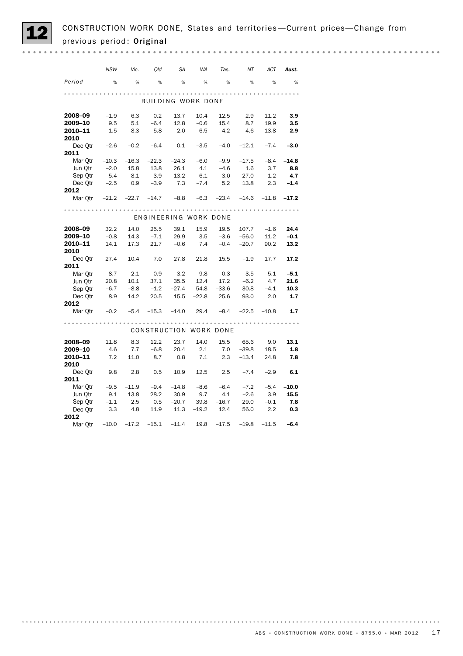|                                                             | <b>NSW</b> | Vic.     | Qld         | <b>SA</b>             | <b>WA</b>    | Tas.                     | NT             | <b>ACT</b> | Aust.   |
|-------------------------------------------------------------|------------|----------|-------------|-----------------------|--------------|--------------------------|----------------|------------|---------|
| Period                                                      | %          | %        | %           | %                     | %            | %                        | %              | %          | %       |
|                                                             |            |          |             |                       |              |                          |                |            |         |
|                                                             |            |          |             | BUILDING WORK DONE    |              |                          |                |            |         |
|                                                             |            |          |             |                       |              |                          |                |            |         |
| 2008–09                                                     | $-1.9$     | 6.3      | 0.2         | 13.7                  | 10.4         | 12.5                     | 2.9            | 11.2       | 3.9     |
| 2009–10                                                     | 9.5        | 5.1      |             | $-6.4$ 12.8           | $-0.6$       | 15.4                     | 8.7            | 19.9       | 3.5     |
| 2010-11                                                     | 1.5        | 8.3      | $-5.8$      | 2.0                   | 6.5          | 4.2                      | $-4.6$         | 13.8       | 2.9     |
| 2010                                                        |            |          |             |                       |              |                          |                |            |         |
| Dec $Qtr$ $-2.6$<br>2011                                    |            | $-0.2$   | $-6.4$      | 0.1                   | $-3.5$       | $-4.0$                   | $-12.1$        | $-7.4$     | $-3.0$  |
| Mar Otr                                                     | $-10.3$    | $-16.3$  | $-22.3$     | $-24.3$               | $-6.0$       | $-9.9$                   | $-17.5$        | $-8.4$     | $-14.8$ |
| Jun Otr                                                     | $-2.0$     | 15.8     | 13.8        | 26.1                  | 4.1          | $-4.6$                   | 1.6            | 3.7        | 8.8     |
|                                                             |            |          | 3.9         | $-13.2$               | 6.1          | $-3.0$                   | 27.0           | 1.2        | 4.7     |
| Sep Qtr 5.4 8.1<br>Dec Qtr -2.5 0.9                         |            |          | $-3.9$      | 7.3                   |              | $-7.4$ 5.2 13.8 2.3 -1.4 |                |            |         |
| 2012                                                        |            |          |             |                       |              |                          |                |            |         |
| Mar Otr -21.2 -22.7 -14.7 -8.8 -6.3 -23.4 -14.6 -11.8 -17.2 |            |          |             |                       |              |                          |                |            |         |
|                                                             |            |          |             |                       |              |                          |                |            |         |
|                                                             |            |          |             |                       |              |                          |                |            |         |
|                                                             |            |          |             | ENGINEERING WORK DONE |              |                          |                |            |         |
| 2008-09                                                     | 32.2       | 14.0     | 25.5        | 39.1                  | 15.9         | 19.5                     | 107.7          | $-1.6$     | 24.4    |
| 2009–10                                                     | $-0.8$     |          | $14.3 -7.1$ | 29.9                  |              | $3.5 -3.6 -56.0$         |                | 11.2       | $-0.1$  |
| 2010-11                                                     | 14.1       | 17.3     | 21.7        | $-0.6$                | 7.4          |                          | $-0.4$ $-20.7$ | 90.2       | 13.2    |
| 2010                                                        |            |          |             |                       |              |                          |                |            |         |
| Dec Qtr 27.4                                                |            | 10.4     | 7.0         | 27.8                  |              | $21.8$ $15.5$ $-1.9$     |                | 17.7       | 17.2    |
| 2011                                                        |            |          |             |                       |              |                          |                |            |         |
| Mar Qtr                                                     | $-8.7$     |          | $-2.1$ 0.9  | $-3.2$                | $-9.8$       | $-0.3$                   | 3.5            | 5.1        | $-5.1$  |
| Jun Otr                                                     | 20.8       | 10.1     | 37.1        | 35.5                  | 12.4         | 17.2                     | $-6.2$         | 4.7        | 21.6    |
| Sep Qtr                                                     | $-6.7$     | $-8.8$   | $-1.2$      | $-27.4$               | 54.8         | $-33.6$                  | 30.8           | $-4.1$     | 10.3    |
| Dec Qtr 8.9                                                 |            | 14.2     | 20.5        | 15.5                  |              | $-22.8$ 25.6             | 93.0           | 2.0        | 1.7     |
| 2012                                                        |            |          |             |                       |              |                          |                |            |         |
| Mar Qtr -0.2                                                |            | $-5.4$   | $-15.3$     | $-14.0$               | 29.4         | $-8.4$                   | $-22.5$        | $-10.8$    | 1.7     |
|                                                             |            |          |             |                       |              |                          |                |            |         |
|                                                             |            |          |             |                       |              | CONSTRUCTION WORK DONE   |                |            |         |
|                                                             |            |          |             |                       |              |                          |                |            |         |
| 2008–09                                                     | 11.8       | 8.3      | 12.2        | 23.7                  | 14.0         | 15.5                     | 65.6           | 9.0        | 13.1    |
| 2009-10                                                     | 4.6        | 7.7      | $-6.8$      | 20.4                  | 2.1          | 7.0                      | $-39.8$        | 18.5       | 1.8     |
| 2010-11<br>2010                                             | 7.2        | 11.0     | 8.7         | 0.8                   | 7.1          | 2.3                      | $-13.4$        | 24.8       | 7.8     |
| Dec Qtr 9.8 2.8                                             |            |          | 0.5         | 10.9                  | 12.5         | 2.5                      | $-7.4$         | $-2.9$     | 6.1     |
| 2011                                                        |            |          |             |                       |              |                          |                |            |         |
| Mar $Qtr$ $-9.5$                                            |            | $-11.9$  | $-9.4$      | $-14.8$               | $-8.6$       | $-6.4$                   | $-7.2$         | $-5.4$     | $-10.0$ |
| Jun Qtr                                                     |            | 9.1 13.8 | 28.2        | 30.9                  | 9.7          | 4.1                      | $-2.6$         | 3.9        | 15.5    |
| Sep Qtr                                                     | $-1.1$     | 2.5      | 0.5         | $-20.7$               | 39.8         | $-16.7$                  | 29.0           | $-0.1$     | 7.8     |
| Dec Qtr 3.3                                                 |            | 4.8      |             | 11.9 11.3             | $-19.2$ 12.4 |                          | 56.0           | 2.2        | 0.3     |
| 2012                                                        |            |          |             |                       |              |                          |                |            |         |
| Mar Otr                                                     | $-10.0$    | $-17.2$  | $-15.1$     | $-11.4$               | 19.8         | $-17.5$                  | $-19.8$        | $-11.5$    | $-6.4$  |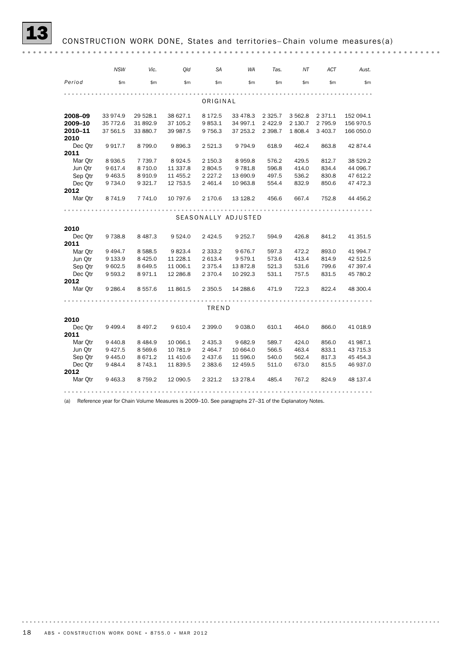|         | <b>NSW</b>  | Vic.        | Qld       | <b>SA</b>   | <b>WA</b>           | Tas.      | ΝT        | ACT         | Aust.     |
|---------|-------------|-------------|-----------|-------------|---------------------|-----------|-----------|-------------|-----------|
| Period  | \$m         | \$m\$       | \$m       | \$m\$       | \$m\$               | \$m\$     | \$m\$     | \$m\$       | \$m       |
|         |             |             |           |             |                     |           |           |             |           |
|         |             |             |           | ORIGINAL    |                     |           |           |             |           |
| 2008-09 | 33 974.9    | 29 528.1    | 38 627.1  | 8 1 7 2.5   | 33 478.3            | 2 3 2 5.7 | 3 5 6 2.8 | 2 3 7 1 . 1 | 152 094.1 |
| 2009-10 | 35 772.6    | 31 892.9    | 37 105.2  | 9853.1      | 34 997.1            | 2 4 2 2.9 | 2 130.7   | 2 7 9 5.9   | 156 970.5 |
| 2010-11 | 37 561.5    | 33 880.7    | 39 987.5  | 9 7 5 6.3   | 37 253.2            | 2 3 9 8.7 | 1808.4    | 3 403.7     | 166 050.0 |
| 2010    |             |             |           |             |                     |           |           |             |           |
| Dec Qtr | 9917.7      | 8799.0      | 9896.3    | 2 5 2 1.3   | 9 7 9 4.9           | 618.9     | 462.4     | 863.8       | 42 874.4  |
| 2011    |             |             |           |             |                     |           |           |             |           |
| Mar Otr | 8936.5      | 7 7 3 9.7   | 8924.5    | 2 150.3     | 8959.8              | 576.2     | 429.5     | 812.7       | 38 529.2  |
| Jun Otr | 9 617.4     | 8 7 1 0.0   | 11 337.8  | 2804.5      | 9781.8              | 596.8     | 414.0     | 834.4       | 44 096.7  |
| Sep Qtr | 9 4 63.5    | 8910.9      | 11 455.2  | 2 2 2 7 . 2 | 13 690.9            | 497.5     | 536.2     | 830.8       | 47 612.2  |
| Dec Otr | 9 7 3 4 . 0 | 9 3 2 1.7   | 12 753.5  | 2 4 6 1.4   | 10 963.8            | 554.4     | 832.9     | 850.6       | 47 472.3  |
| 2012    |             |             |           |             |                     |           |           |             |           |
| Mar Qtr | 8 741.9     | 7 741.0     | 10 797.6  | 2 170.6     | 13 128.2            | 456.6     | 667.4     | 752.8       | 44 456.2  |
|         |             |             |           |             |                     |           |           |             |           |
|         |             |             |           |             | SEASONALLY ADJUSTED |           |           |             |           |
| 2010    |             |             |           |             |                     |           |           |             |           |
| Dec Qtr | 9738.8      | 8 4 8 7 . 3 | 9 5 24.0  | 2 4 2 4 .5  | 9 2 5 2.7           | 594.9     | 426.8     | 841.2       | 41 351.5  |
| 2011    |             |             |           |             |                     |           |           |             |           |
| Mar Otr | 9 4 9 4.7   | 8 5 8 8.5   | 9823.4    | 2 3 3 3.2   | 9676.7              | 597.3     | 472.2     | 893.0       | 41 994.7  |
| Jun Otr | 9 133.9     | 8 4 2 5.0   | 11 228.1  | 2 613.4     | 9579.1              | 573.6     | 413.4     | 814.9       | 42 512.5  |
| Sep Qtr | 9 602.5     | 8 6 4 9.5   | 11 006.1  | 2 3 7 5 . 4 | 13872.8             | 521.3     | 531.6     | 799.6       | 47 397.4  |
| Dec Otr | 9 5 9 3.2   | 8971.1      | 12 28 6.8 | 2 3 7 0.4   | 10 292.3            | 531.1     | 757.5     | 831.5       | 45 780.2  |
| 2012    |             |             |           |             |                     |           |           |             |           |
| Mar Qtr | 9 2 8 6.4   | 8 5 5 7 . 6 | 11 861.5  | 2 3 5 0.5   | 14 288.6            | 471.9     | 722.3     | 822.4       | 48 300.4  |
|         |             |             |           |             |                     |           |           |             |           |
|         |             |             |           | TREND       |                     |           |           |             |           |
| 2010    |             |             |           |             |                     |           |           |             |           |
| Dec Qtr | 9 4 9 9.4   | 8 4 9 7.2   | 9 6 10.4  | 2 399.0     | 9 0 38.0            | 610.1     | 464.0     | 866.0       | 41 018.9  |
| 2011    |             |             |           |             |                     |           |           |             |           |
| Mar Otr | 9 4 4 0.8   | 8 4 8 4 .9  | 10 066.1  | 2 4 3 5.3   | 9682.9              | 589.7     | 424.0     | 856.0       | 41 987.1  |
| Jun Otr | 9 4 2 7 .5  | 8 5 6 9.6   | 10 781.9  | 2 4 64.7    | 10 664.0            | 566.5     | 463.4     | 833.1       | 43 715.3  |
| Sep Qtr | 9 4 4 5.0   | 8 671.2     | 11 410.6  | 2 437.6     | 11 596.0            | 540.0     | 562.4     | 817.3       | 45 45 4.3 |
| Dec Otr | 9484.4      | 8 7 4 3.1   | 11 839.5  | 2 3 8 3 . 6 | 12 459.5            | 511.0     | 673.0     | 815.5       | 46 937.0  |
| 2012    |             |             |           |             |                     |           |           |             |           |
| Mar Qtr | 9 4 63.3    | 8 7 5 9.2   | 12 090.5  | 2 3 2 1.2   | 13 278.4            | 485.4     | 767.2     | 824.9       | 48 137.4  |
|         |             |             |           |             |                     |           |           |             |           |

(a) Reference year for Chain Volume Measures is 2009–10. See paragraphs 27–31 of the Explanatory Notes.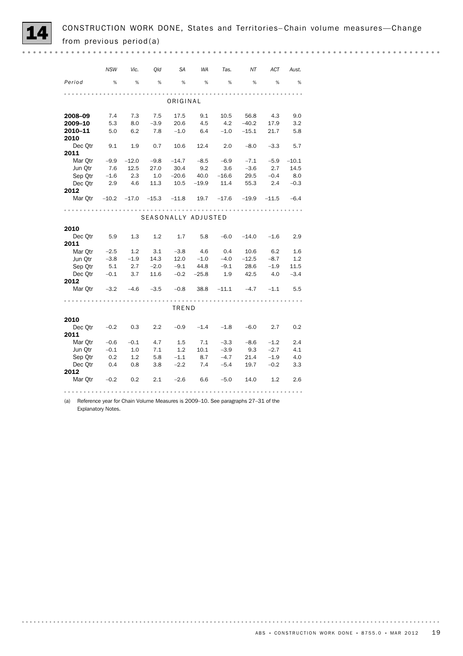

CONSTRUCTION WORK DONE, States and Territories–Chain volume measures—Change from previous period(a)

|                                                                  | <b>NSW</b> | Vic.         | Old              | SA                              | <b>WA</b> | Tas.    | NT      | ACT        | Aust.   |
|------------------------------------------------------------------|------------|--------------|------------------|---------------------------------|-----------|---------|---------|------------|---------|
| Period                                                           | %          | %            | %                | %                               | %         | %       | %       | %          | %       |
|                                                                  |            |              |                  |                                 |           |         |         |            |         |
|                                                                  |            |              |                  | ORIGINAL                        |           |         |         |            |         |
| 2008-09                                                          | 7.4        | 7.3          | 7.5              | 17.5                            | 9.1       | 10.5    | 56.8    | 4.3        | 9.0     |
| 2009-10                                                          | 5.3        | 8.0          | $-3.9$           | 20.6                            | 4.5       | 4.2     | $-40.2$ | 17.9       | 3.2     |
| 2010-11                                                          | 5.0        | 6.2          | 7.8              | $-1.0$                          | 6.4       | $-1.0$  | $-15.1$ | 21.7       | 5.8     |
| 2010                                                             |            |              |                  |                                 |           |         |         |            |         |
| Dec Otr                                                          | 9.1        | 1.9          | 0.7              | 10.6                            | 12.4      | 2.0     | $-8.0$  | $-3.3$     | 5.7     |
| 2011                                                             |            |              |                  |                                 |           |         |         |            |         |
| Mar Otr $-9.9$                                                   |            | $-12.0 -9.8$ |                  | $-14.7 -8.5$                    |           | $-6.9$  | $-7.1$  | $-5.9$     | $-10.1$ |
| Jun Otr                                                          | 7.6        | 12.5         | 27.0             | 30.4                            | 9.2       | 3.6     | $-3.6$  | 2.7        | 14.5    |
| Sep Qtr                                                          | $-1.6$     | 2.3          | 1.0              | $-20.6$                         | 40.0      | $-16.6$ | 29.5    | $-0.4$     | 8.0     |
| Dec Otr                                                          | 2.9        | 4.6          | 11.3             | $10.5 -19.9$                    |           | 11.4    | 55.3    | 2.4        | $-0.3$  |
| 2012                                                             |            |              |                  |                                 |           |         |         |            |         |
| Mar Otr -10.2 -17.0 -15.3 -11.8 19.7 -17.6 -19.9 -11.5 -6.4      |            |              |                  |                                 |           |         |         |            |         |
|                                                                  |            |              |                  |                                 |           |         |         |            |         |
|                                                                  |            |              |                  | SEASONALLY ADJUSTED             |           |         |         |            |         |
| 2010                                                             |            |              |                  |                                 |           |         |         |            |         |
| Dec Qtr 5.9 1.3                                                  |            |              | 1.2              | $1.7$ 5.8 $-6.0$ $-14.0$ $-1.6$ |           |         |         |            | 2.9     |
| 2011                                                             |            |              |                  |                                 |           |         |         |            |         |
| Mar Otr $-2.5$                                                   |            | $1.2$ $3.1$  |                  | $-3.8$ 4.6                      |           | 0.4     | 10.6    | 6.2        | 1.6     |
| Jun Qtr                                                          | $-3.8$     | $-1.9$       | 14.3             | 12.0                            | $-1.0$    | $-4.0$  | $-12.5$ | $-8.7$     | 1.2     |
| Sep Otr                                                          | 5.1        | 2.7          | $-2.0$           | $-9.1$                          | 44.8      | $-9.1$  | 28.6    | $-1.9$     | 11.5    |
| Dec Qtr $-0.1$                                                   |            | 3.7          | 11.6             | $-0.2$ $-25.8$                  |           | 1.9     | 42.5    | -4.0       | $-3.4$  |
| 2012                                                             |            |              |                  |                                 |           |         |         |            |         |
| Mar Otr $-3.2$ $-4.6$ $-3.5$ $-0.8$ $38.8$ $-11.1$ $-4.7$ $-1.1$ |            |              |                  |                                 |           |         |         |            | 5.5     |
|                                                                  |            |              |                  |                                 |           |         |         |            |         |
|                                                                  |            |              |                  | TREND                           |           |         |         |            |         |
| 2010                                                             |            |              |                  |                                 |           |         |         |            |         |
| Dec Qtr                                                          |            | $-0.2$ 0.3   | $2.2\phantom{0}$ | $-0.9$                          | $-1.4$    | $-1.8$  |         | $-6.0$ 2.7 | 0.2     |
| 2011                                                             |            |              |                  |                                 |           |         |         |            |         |
| Mar Otr $-0.6$                                                   |            | $-0.1$       | 4.7              | 1.5                             | 7.1       | $-3.3$  | $-8.6$  | $-1.2$     | 2.4     |
| Jun Otr                                                          | $-0.1$     | 1.0          | 7.1              | 1.2                             | 10.1      | $-3.9$  | 9.3     | $-2.7$     | 4.1     |
| Sep Qtr                                                          | 0.2        | 1.2          | 5.8              | $-1.1$                          | 8.7       | $-4.7$  | 21.4    | $-1.9$     | 4.0     |
| Dec Otr 0.4                                                      |            | 0.8          | 3.8              | $-2.2$                          | 7.4       | $-5.4$  | 19.7    | $-0.2$     | 3.3     |
| 2012                                                             |            |              |                  |                                 |           |         |         |            |         |
| Mar Otr $-0.2$                                                   |            | 0.2          | 2.1              | $-2.6$                          | 6.6       | $-5.0$  | 14.0    | 1.2        | 2.6     |
|                                                                  |            |              |                  |                                 |           |         |         |            |         |

(a) Reference year for Chain Volume Measures is 2009–10. See paragraphs 27–31 of the Explanatory Notes.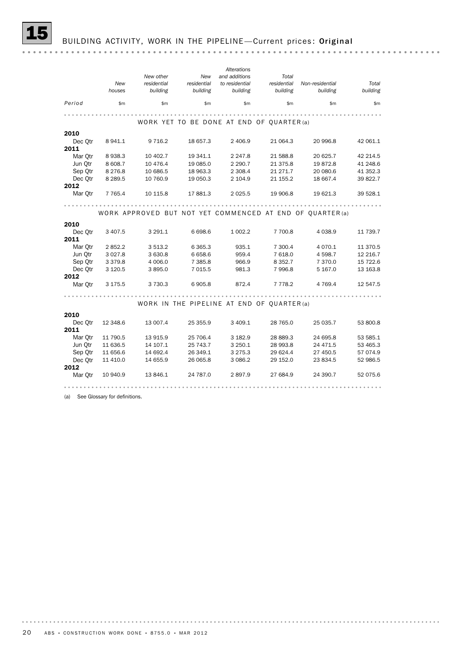*Alterations New other New and additions Total New Total residential residential to residential residential Non-residential houses building building building building building building Period* \$m \$m \$m \$m \$m \$m \$m WORK YET TO BE DONE AT END OF QUARTER (a) 2010 Dec Qtr 8 941.1 9 716.2 18 657.3 2 406.9 21 064.3 20 996.8 42 061.1 **2011**<br>Mar Otr 8938.3 Mar Qtr 8 938.3 10 402.7 19 341.1 2 247.8 21 588.8 20 625.7 42 214.5 Jun Qtr 8 608.7 10 476.4 19 085.0 2 290.7 21 375.8 19 872.8 41 248.6 Sep Qtr 8 276.8 10 686.5 18 963.3 2 308.4 21 271.7 20 080.6 41 352.3 Dec Qtr 8 289.5 10 760.9 19 050.3 2 104.9 21 155.2 18 667.4 39 822.7 2012 Mar Qtr 7 765.4 10 115.8 17 881.3 2 025.5 19 906.8 19 621.3 39 528.1 WORK APPROVED BUT NOT YET COMMENCED AT END OF QUARTER (a) 2010 Dec Qtr 3 407.5 3 291.1 6 698.6 1 002.2 7 700.8 4 038.9 11 739.7 2011 Nar Qtr 2 852.2 3 513.2 6 365.3 935.1 7 300.4 4 070.1 11 370.5<br>
Jun Qtr 3 027.8 3 630.8 6 658.6 959.4 7 618.0 4 598.7 12 216.7 Jun Qtr 3 027.8 3 630.8 6 658.6 959.4 7 618.0 4 598.7 12 216.7 Process of the contract of the contract of the contract of the contract of the contract of the contract of the contract of the contract of the contract of the contract of the contract of the contract of the contract of the Sep Qtr 3 379.8 4 006.0 7 385.8 966.9 8 352.7 7 370.0 15 722.6 2012 Mar Qtr 3 175.5 3 730.3 6 905.8 872.4 7 778.2 4 769.4 12 547.5 WORK IN THE PIPELINE AT END OF QUARTER (a) 2010 Dec Qtr 12 348.6 13 007.4 25 355.9 3 409.1 28 765.0 25 035.7 53 800.8 2011 Mar Qtr 11 790.5 13 915.9 25 706.4 3 182.9 28 889.3 24 695.8 53 585.1 Jun Qtr 11 636.5 14 107.1 25 743.7 3 250.1 28 993.8 24 471.5 53 465.3 Sep Qtr 11 656.6 14 692.4 26 349.1 3 275.3 29 624.4 27 450.5 57 074.9 Dec Qtr 11 410.0 14 655.9 26 065.8 3 086.2 29 152.0 23 834.5 52 986.5 2012 Mar Qtr 10 940.9 13 846.1 24 787.0 2 897.9 27 684.9 24 390.7 52 075.6 

(a) See Glossary for definitions.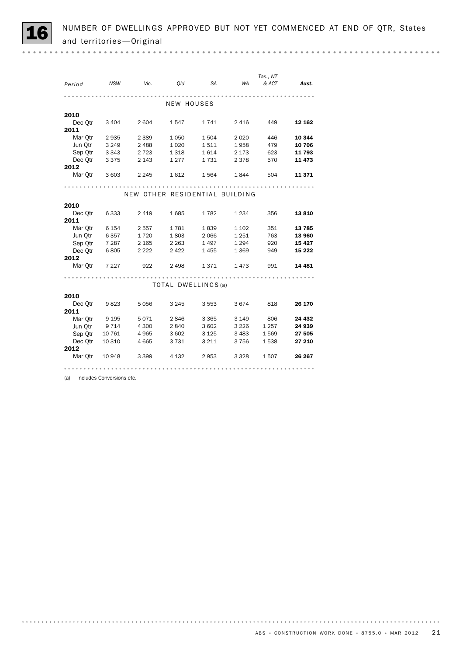|                 |         |         |                                |           |         | Tas., NT |          |
|-----------------|---------|---------|--------------------------------|-----------|---------|----------|----------|
| Period          | NSW     | Vic.    | <i>Old</i>                     | <b>SA</b> | WA      | & ACT    | Aust.    |
|                 |         |         |                                |           | .       |          |          |
|                 |         |         | NEW HOUSES                     |           |         |          |          |
| 2010            |         |         |                                |           |         |          |          |
| Dec Otr         | 3 4 0 4 | 2 6 0 4 | 1547                           | 1741      | 2 4 1 6 | 449      | 12 162   |
| 2011            |         |         |                                |           |         |          |          |
| Mar Qtr         | 2935    | 2 3 8 9 | 1 0 5 0                        | 1504      | 2 0 2 0 | 446      | 10 344   |
| Jun Qtr         | 3 2 4 9 | 2 4 8 8 | 1 0 2 0                        | 1511      | 1958    | 479      | 10 706   |
| Sep Otr         | 3 3 4 3 | 2 7 2 3 | 1 3 1 8                        | 1614      | 2 173   | 623      | 11 793   |
| Dec Qtr         | 3 3 7 5 | 2 1 4 3 | 1 2 7 7                        | 1731      | 2 3 7 8 | 570      | 11 473   |
| 2012            |         |         |                                |           |         |          |          |
| Mar Otr         | 3 603   | 2 2 4 5 | 1612                           | 1564      | 1844    | 504      | 11 371   |
|                 |         |         |                                |           |         |          |          |
|                 |         |         | NEW OTHER RESIDENTIAL BUILDING |           |         |          |          |
|                 |         |         |                                |           |         |          |          |
| 2010            |         |         |                                |           |         |          |          |
| Dec Qtr         | 6 3 3 3 | 2 4 1 9 | 1685                           | 1782      | 1 2 3 4 | 356      | 13810    |
| 2011            |         |         |                                |           |         |          |          |
| Mar Otr         | 6 154   | 2 5 5 7 | 1781                           | 1839      | 1 1 0 2 | 351      | 13 785   |
| Jun Qtr         | 6 3 5 7 | 1720    | 1803                           | 2 0 6 6   | 1 2 5 1 | 763      | 13 960   |
| Sep Qtr         | 7 287   | 2 1 6 5 | 2 2 6 3                        | 1497      | 1 2 9 4 | 920      | 15 4 27  |
| Dec Otr         | 6805    | 2 2 2 2 | 2422                           | 1455      | 1 3 6 9 | 949      | 15 222   |
| 2012            |         |         |                                |           |         |          |          |
| Mar Qtr         | 7 2 2 7 | 922     | 2 4 9 8                        | 1371      | 1473    | 991      | 14 4 8 1 |
|                 |         |         |                                |           |         |          |          |
|                 |         |         | TOTAL DWELLINGS (a)            |           |         |          |          |
|                 |         |         |                                |           |         |          |          |
| 2010            |         |         |                                |           | 3674    | 818      |          |
| Dec Qtr<br>2011 | 9 823   | 5 0 5 6 | 3 2 4 5                        | 3 5 5 3   |         |          | 26 170   |
| Mar Otr         | 9 1 9 5 | 5071    | 2846                           | 3 3 6 5   | 3 1 4 9 | 806      | 24 432   |
| Jun Otr         | 9 7 1 4 | 4 300   | 2840                           | 3 602     | 3 2 2 6 | 1 2 5 7  | 24 939   |
| Sep Qtr         | 10 761  | 4 9 6 5 | 3 6 0 2                        | 3 1 2 5   | 3 4 8 3 | 1569     | 27 505   |
| Dec Otr         | 10 310  | 4 6 6 5 | 3731                           | 3 2 1 1   | 3756    | 1538     | 27 210   |
| 2012            |         |         |                                |           |         |          |          |
| Mar Otr         | 10 948  | 3 3 9 9 | 4 132                          | 2953      | 3 3 2 8 | 1507     | 26 267   |
|                 |         |         |                                |           |         |          |          |
|                 |         |         |                                |           |         |          |          |

(a) Includes Conversions etc.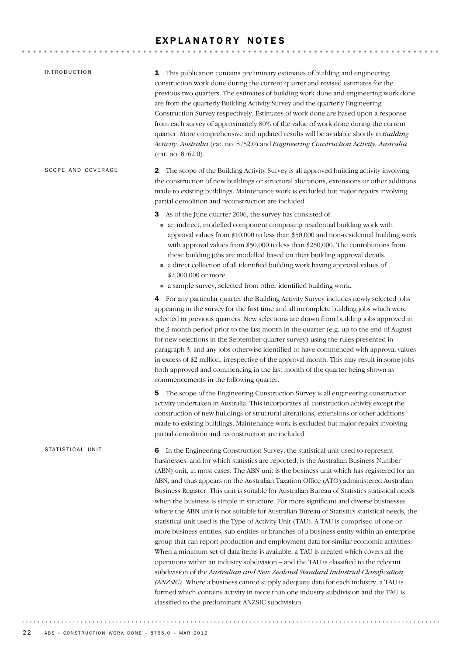### EXPLANATORY NOTES

| <b>INTRODUCTION</b> | <b>1</b> This publication contains preliminary estimates of building and engineering<br>construction work done during the current quarter and revised estimates for the<br>previous two quarters. The estimates of building work done and engineering work done<br>are from the quarterly Building Activity Survey and the quarterly Engineering<br>Construction Survey respectively. Estimates of work done are based upon a response<br>from each survey of approximately 80% of the value of work done during the current<br>quarter. More comprehensive and updated results will be available shortly in Building<br>Activity, Australia (cat. no. 8752.0) and Engineering Construction Activity, Australia<br>(cat. no. 8762.0).                                                                                                                                                                                                                                                                                                                                                                                                                                                                                                                                                                                                                                                                                                                |
|---------------------|------------------------------------------------------------------------------------------------------------------------------------------------------------------------------------------------------------------------------------------------------------------------------------------------------------------------------------------------------------------------------------------------------------------------------------------------------------------------------------------------------------------------------------------------------------------------------------------------------------------------------------------------------------------------------------------------------------------------------------------------------------------------------------------------------------------------------------------------------------------------------------------------------------------------------------------------------------------------------------------------------------------------------------------------------------------------------------------------------------------------------------------------------------------------------------------------------------------------------------------------------------------------------------------------------------------------------------------------------------------------------------------------------------------------------------------------------|
| SCOPE AND COVERAGE  | The scope of the Building Activity Survey is all approved building activity involving<br>$\mathbf{z}$<br>the construction of new buildings or structural alterations, extensions or other additions<br>made to existing buildings. Maintenance work is excluded but major repairs involving<br>partial demolition and reconstruction are included.                                                                                                                                                                                                                                                                                                                                                                                                                                                                                                                                                                                                                                                                                                                                                                                                                                                                                                                                                                                                                                                                                                   |
|                     | As of the June quarter 2006, the survey has consisted of:<br>3<br>• an indirect, modelled component comprising residential building work with<br>approval values from \$10,000 to less than \$50,000 and non-residential building work<br>with approval values from \$50,000 to less than \$250,000. The contributions from<br>these building jobs are modelled based on their building approval details.<br>a direct collection of all identified building work having approval values of<br>\$2,000,000 or more.<br>• a sample survey, selected from other identified building work.                                                                                                                                                                                                                                                                                                                                                                                                                                                                                                                                                                                                                                                                                                                                                                                                                                                               |
|                     | For any particular quarter the Building Activity Survey includes newly selected jobs<br>4<br>appearing in the survey for the first time and all incomplete building jobs which were<br>selected in previous quarters. New selections are drawn from building jobs approved in<br>the 3 month period prior to the last month in the quarter (e.g. up to the end of August<br>for new selections in the September quarter survey) using the rules presented in<br>paragraph 3, and any jobs otherwise identified to have commenced with approval values<br>in excess of \$2 million, irrespective of the approval month. This may result in some jobs<br>both approved and commencing in the last month of the quarter being shown as<br>commencements in the following quarter.                                                                                                                                                                                                                                                                                                                                                                                                                                                                                                                                                                                                                                                                       |
|                     | The scope of the Engineering Construction Survey is all engineering construction<br>5<br>activity undertaken in Australia. This incorporates all construction activity except the<br>construction of new buildings or structural alterations, extensions or other additions<br>made to existing buildings. Maintenance work is excluded but major repairs involving<br>partial demolition and reconstruction are included.                                                                                                                                                                                                                                                                                                                                                                                                                                                                                                                                                                                                                                                                                                                                                                                                                                                                                                                                                                                                                           |
| STATISTICAL UNIT    | In the Engineering Construction Survey, the statistical unit used to represent<br>6<br>businesses, and for which statistics are reported, is the Australian Business Number<br>(ABN) unit, in most cases. The ABN unit is the business unit which has registered for an<br>ABN, and thus appears on the Australian Taxation Office (ATO) administered Australian<br>Business Register. This unit is suitable for Australian Bureau of Statistics statistical needs<br>when the business is simple in structure. For more significant and diverse businesses<br>where the ABN unit is not suitable for Australian Bureau of Statistics statistical needs, the<br>statistical unit used is the Type of Activity Unit (TAU). A TAU is comprised of one or<br>more business entities, sub-entities or branches of a business entity within an enterprise<br>group that can report production and employment data for similar economic activities.<br>When a minimum set of data items is available, a TAU is created which covers all the<br>operations within an industry subdivision - and the TAU is classified to the relevant<br>subdivision of the Australian and New Zealand Standard Industrial Classification<br>(ANZSIC). Where a business cannot supply adequate data for each industry, a TAU is<br>formed which contains activity in more than one industry subdivision and the TAU is<br>classified to the predominant ANZSIC subdivision. |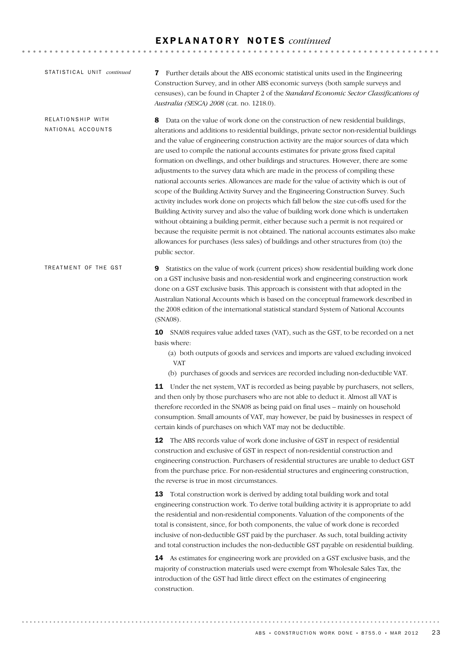| STATISTICAL UNIT continued             | Further details about the ABS economic statistical units used in the Engineering<br>7<br>Construction Survey, and in other ABS economic surveys (both sample surveys and<br>censuses), can be found in Chapter 2 of the Standard Economic Sector Classifications of<br>Australia (SESCA) 2008 (cat. no. 1218.0).                                                                                                                                                                                                                                                                                                                                                                                                                                                                                                                                                                                                                                                                                                                                                                                                                                                                                                     |
|----------------------------------------|----------------------------------------------------------------------------------------------------------------------------------------------------------------------------------------------------------------------------------------------------------------------------------------------------------------------------------------------------------------------------------------------------------------------------------------------------------------------------------------------------------------------------------------------------------------------------------------------------------------------------------------------------------------------------------------------------------------------------------------------------------------------------------------------------------------------------------------------------------------------------------------------------------------------------------------------------------------------------------------------------------------------------------------------------------------------------------------------------------------------------------------------------------------------------------------------------------------------|
| RELATIONSHIP WITH<br>NATIONAL ACCOUNTS | Data on the value of work done on the construction of new residential buildings,<br>8<br>alterations and additions to residential buildings, private sector non-residential buildings<br>and the value of engineering construction activity are the major sources of data which<br>are used to compile the national accounts estimates for private gross fixed capital<br>formation on dwellings, and other buildings and structures. However, there are some<br>adjustments to the survey data which are made in the process of compiling these<br>national accounts series. Allowances are made for the value of activity which is out of<br>scope of the Building Activity Survey and the Engineering Construction Survey. Such<br>activity includes work done on projects which fall below the size cut-offs used for the<br>Building Activity survey and also the value of building work done which is undertaken<br>without obtaining a building permit, either because such a permit is not required or<br>because the requisite permit is not obtained. The national accounts estimates also make<br>allowances for purchases (less sales) of buildings and other structures from (to) the<br>public sector. |
| TREATMENT OF THE GST                   | 9<br>Statistics on the value of work (current prices) show residential building work done<br>on a GST inclusive basis and non-residential work and engineering construction work<br>done on a GST exclusive basis. This approach is consistent with that adopted in the<br>Australian National Accounts which is based on the conceptual framework described in<br>the 2008 edition of the international statistical standard System of National Accounts<br>$(SNA08)$ .                                                                                                                                                                                                                                                                                                                                                                                                                                                                                                                                                                                                                                                                                                                                             |
|                                        | <b>10</b> SNA08 requires value added taxes (VAT), such as the GST, to be recorded on a net<br>basis where:<br>(a) both outputs of goods and services and imports are valued excluding invoiced<br><b>VAT</b>                                                                                                                                                                                                                                                                                                                                                                                                                                                                                                                                                                                                                                                                                                                                                                                                                                                                                                                                                                                                         |
|                                        | (b) purchases of goods and services are recorded including non-deductible VAT.                                                                                                                                                                                                                                                                                                                                                                                                                                                                                                                                                                                                                                                                                                                                                                                                                                                                                                                                                                                                                                                                                                                                       |
|                                        | 11 Under the net system, VAT is recorded as being payable by purchasers, not sellers,<br>and then only by those purchasers who are not able to deduct it. Almost all VAT is<br>therefore recorded in the SNA08 as being paid on final uses - mainly on household<br>consumption. Small amounts of VAT, may however, be paid by businesses in respect of<br>certain kinds of purchases on which VAT may not be deductible.                                                                                                                                                                                                                                                                                                                                                                                                                                                                                                                                                                                                                                                                                                                                                                                            |
|                                        | 12 The ABS records value of work done inclusive of GST in respect of residential<br>construction and exclusive of GST in respect of non-residential construction and<br>engineering construction. Purchasers of residential structures are unable to deduct GST<br>from the purchase price. For non-residential structures and engineering construction,<br>the reverse is true in most circumstances.                                                                                                                                                                                                                                                                                                                                                                                                                                                                                                                                                                                                                                                                                                                                                                                                               |
|                                        | Total construction work is derived by adding total building work and total<br>13<br>engineering construction work. To derive total building activity it is appropriate to add<br>the residential and non-residential components. Valuation of the components of the<br>total is consistent, since, for both components, the value of work done is recorded<br>inclusive of non-deductible GST paid by the purchaser. As such, total building activity<br>and total construction includes the non-deductible GST payable on residential building.                                                                                                                                                                                                                                                                                                                                                                                                                                                                                                                                                                                                                                                                     |
|                                        | <b>14</b> As estimates for engineering work are provided on a GST exclusive basis, and the<br>majority of construction materials used were exempt from Wholesale Sales Tax, the<br>introduction of the GST had little direct effect on the estimates of engineering<br>construction.                                                                                                                                                                                                                                                                                                                                                                                                                                                                                                                                                                                                                                                                                                                                                                                                                                                                                                                                 |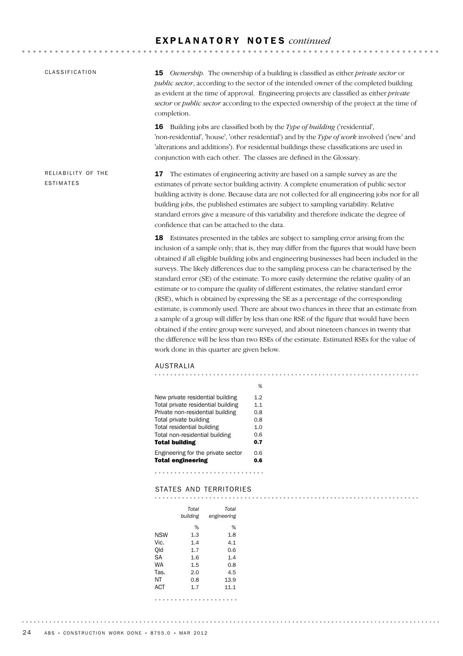| CLASSIFICATION                         | Ownership. The ownership of a building is classified as either private sector or<br>15<br>public sector, according to the sector of the intended owner of the completed building<br>as evident at the time of approval. Engineering projects are classified as either private<br>sector or public sector according to the expected ownership of the project at the time of<br>completion.                                                                                                                                                                                                                                                                                                                                                                                                                                                                                                                                                                                                                                                                                        |
|----------------------------------------|----------------------------------------------------------------------------------------------------------------------------------------------------------------------------------------------------------------------------------------------------------------------------------------------------------------------------------------------------------------------------------------------------------------------------------------------------------------------------------------------------------------------------------------------------------------------------------------------------------------------------------------------------------------------------------------------------------------------------------------------------------------------------------------------------------------------------------------------------------------------------------------------------------------------------------------------------------------------------------------------------------------------------------------------------------------------------------|
|                                        | Building jobs are classified both by the Type of building ('residential',<br>16<br>'non-residential', 'house', 'other residential') and by the Type of work involved ('new' and<br>'alterations and additions'). For residential buildings these classifications are used in<br>conjunction with each other. The classes are defined in the Glossary.                                                                                                                                                                                                                                                                                                                                                                                                                                                                                                                                                                                                                                                                                                                            |
| RELIABILITY OF THE<br><b>ESTIMATES</b> | The estimates of engineering activity are based on a sample survey as are the<br>17<br>estimates of private sector building activity. A complete enumeration of public sector<br>building activity is done. Because data are not collected for all engineering jobs nor for all<br>building jobs, the published estimates are subject to sampling variability. Relative<br>standard errors give a measure of this variability and therefore indicate the degree of<br>confidence that can be attached to the data.                                                                                                                                                                                                                                                                                                                                                                                                                                                                                                                                                               |
|                                        | 18 Estimates presented in the tables are subject to sampling error arising from the<br>inclusion of a sample only; that is, they may differ from the figures that would have been<br>obtained if all eligible building jobs and engineering businesses had been included in the<br>surveys. The likely differences due to the sampling process can be characterised by the<br>standard error (SE) of the estimate. To more easily determine the relative quality of an<br>estimate or to compare the quality of different estimates, the relative standard error<br>(RSE), which is obtained by expressing the SE as a percentage of the corresponding<br>estimate, is commonly used. There are about two chances in three that an estimate from<br>a sample of a group will differ by less than one RSE of the figure that would have been<br>obtained if the entire group were surveyed, and about nineteen chances in twenty that<br>the difference will be less than two RSEs of the estimate. Estimated RSEs for the value of<br>work done in this quarter are given below. |
|                                        | <b>AUSTRALIA</b>                                                                                                                                                                                                                                                                                                                                                                                                                                                                                                                                                                                                                                                                                                                                                                                                                                                                                                                                                                                                                                                                 |
|                                        | %                                                                                                                                                                                                                                                                                                                                                                                                                                                                                                                                                                                                                                                                                                                                                                                                                                                                                                                                                                                                                                                                                |
|                                        | New private residential building<br>12                                                                                                                                                                                                                                                                                                                                                                                                                                                                                                                                                                                                                                                                                                                                                                                                                                                                                                                                                                                                                                           |

| New private residential building   | 1.2 |
|------------------------------------|-----|
| Total private residential building | 1.1 |
| Private non-residential building   | 0.8 |
| Total private building             | 0.8 |
| Total residential building         | 1.0 |
| Total non-residential building     | 0.6 |
| <b>Total building</b>              | 0.7 |
| Engineering for the private sector | 0.6 |
| <b>Total engineering</b>           | 0.6 |
|                                    |     |

#### 

## STATES AND TERRITORIES

|            | Total<br>building | Total<br>engineering |
|------------|-------------------|----------------------|
|            | %                 | %                    |
| NSW        | 1.3               | 1.8                  |
| Vic.       | 1.4               | 4.1                  |
| Old        | 1.7               | 0.6                  |
| SА         | 1.6               | 1.4                  |
| WA         | 1.5               | 0.8                  |
| Tas.       | 2.0               | 4.5                  |
| ΝT         | 0.8               | 13.9                 |
| <b>ACT</b> | 1.7               | 11.1                 |
|            |                   |                      |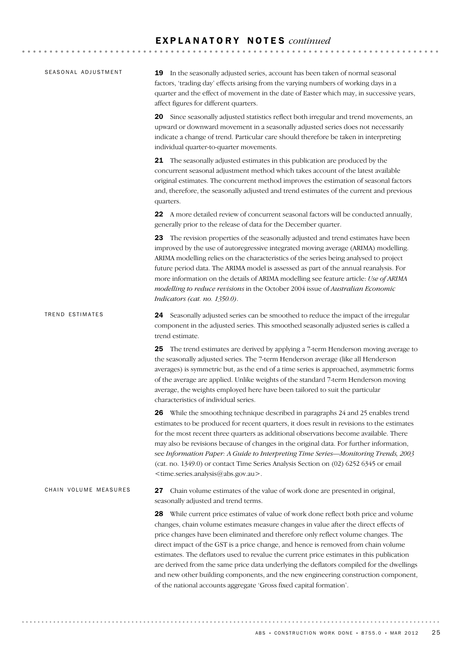| SEASONAL ADJUSTMENT   | <b>19</b> In the seasonally adjusted series, account has been taken of normal seasonal<br>factors, 'trading day' effects arising from the varying numbers of working days in a<br>quarter and the effect of movement in the date of Easter which may, in successive years,<br>affect figures for different quarters.                                                                                                                                                                                                                                                                                                                                                                                             |
|-----------------------|------------------------------------------------------------------------------------------------------------------------------------------------------------------------------------------------------------------------------------------------------------------------------------------------------------------------------------------------------------------------------------------------------------------------------------------------------------------------------------------------------------------------------------------------------------------------------------------------------------------------------------------------------------------------------------------------------------------|
|                       | Since seasonally adjusted statistics reflect both irregular and trend movements, an<br>20<br>upward or downward movement in a seasonally adjusted series does not necessarily<br>indicate a change of trend. Particular care should therefore be taken in interpreting<br>individual quarter-to-quarter movements.                                                                                                                                                                                                                                                                                                                                                                                               |
|                       | <b>21</b> The seasonally adjusted estimates in this publication are produced by the<br>concurrent seasonal adjustment method which takes account of the latest available<br>original estimates. The concurrent method improves the estimation of seasonal factors<br>and, therefore, the seasonally adjusted and trend estimates of the current and previous<br>quarters.                                                                                                                                                                                                                                                                                                                                        |
|                       | 22 A more detailed review of concurrent seasonal factors will be conducted annually,<br>generally prior to the release of data for the December quarter.                                                                                                                                                                                                                                                                                                                                                                                                                                                                                                                                                         |
|                       | 23 The revision properties of the seasonally adjusted and trend estimates have been<br>improved by the use of autoregressive integrated moving average (ARIMA) modelling.<br>ARIMA modelling relies on the characteristics of the series being analysed to project<br>future period data. The ARIMA model is assessed as part of the annual reanalysis. For<br>more information on the details of ARIMA modelling see feature article: Use of ARIMA<br>modelling to reduce revisions in the October 2004 issue of Australian Economic<br>Indicators (cat. no. 1350.0).                                                                                                                                           |
| TREND ESTIMATES       | 24 Seasonally adjusted series can be smoothed to reduce the impact of the irregular<br>component in the adjusted series. This smoothed seasonally adjusted series is called a<br>trend estimate.                                                                                                                                                                                                                                                                                                                                                                                                                                                                                                                 |
|                       | The trend estimates are derived by applying a 7-term Henderson moving average to<br>25.<br>the seasonally adjusted series. The 7-term Henderson average (like all Henderson<br>averages) is symmetric but, as the end of a time series is approached, asymmetric forms<br>of the average are applied. Unlike weights of the standard 7-term Henderson moving<br>average, the weights employed here have been tailored to suit the particular<br>characteristics of individual series.                                                                                                                                                                                                                            |
|                       | <b>26</b> While the smoothing technique described in paragraphs 24 and 25 enables trend<br>estimates to be produced for recent quarters, it does result in revisions to the estimates<br>for the most recent three quarters as additional observations become available. There<br>may also be revisions because of changes in the original data. For further information,<br>see Information Paper: A Guide to Interpreting Time Series-Monitoring Trends, 2003<br>(cat. no. 1349.0) or contact Time Series Analysis Section on (02) 6252 6345 or email<br><time.series.analysis@abs.gov.au>.</time.series.analysis@abs.gov.au>                                                                                  |
| CHAIN VOLUME MEASURES | Chain volume estimates of the value of work done are presented in original,<br>27<br>seasonally adjusted and trend terms.                                                                                                                                                                                                                                                                                                                                                                                                                                                                                                                                                                                        |
|                       | While current price estimates of value of work done reflect both price and volume<br>28.<br>changes, chain volume estimates measure changes in value after the direct effects of<br>price changes have been eliminated and therefore only reflect volume changes. The<br>direct impact of the GST is a price change, and hence is removed from chain volume<br>estimates. The deflators used to revalue the current price estimates in this publication<br>are derived from the same price data underlying the deflators compiled for the dwellings<br>and new other building components, and the new engineering construction component,<br>of the national accounts aggregate 'Gross fixed capital formation'. |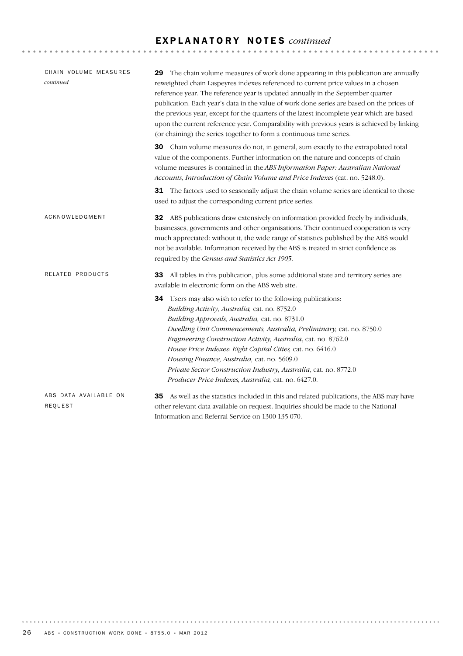| CHAIN VOLUME MEASURES<br>continued | The chain volume measures of work done appearing in this publication are annually<br>29<br>reweighted chain Laspeyres indexes referenced to current price values in a chosen<br>reference year. The reference year is updated annually in the September quarter<br>publication. Each year's data in the value of work done series are based on the prices of<br>the previous year, except for the quarters of the latest incomplete year which are based<br>upon the current reference year. Comparability with previous years is achieved by linking<br>(or chaining) the series together to form a continuous time series. |
|------------------------------------|------------------------------------------------------------------------------------------------------------------------------------------------------------------------------------------------------------------------------------------------------------------------------------------------------------------------------------------------------------------------------------------------------------------------------------------------------------------------------------------------------------------------------------------------------------------------------------------------------------------------------|
|                                    | Chain volume measures do not, in general, sum exactly to the extrapolated total<br>30<br>value of the components. Further information on the nature and concepts of chain<br>volume measures is contained in the ABS Information Paper: Australian National<br>Accounts, Introduction of Chain Volume and Price Indexes (cat. no. 5248.0).                                                                                                                                                                                                                                                                                   |
|                                    | 31 The factors used to seasonally adjust the chain volume series are identical to those<br>used to adjust the corresponding current price series.                                                                                                                                                                                                                                                                                                                                                                                                                                                                            |
| ACKNOWLEDGMENT                     | ABS publications draw extensively on information provided freely by individuals,<br>32<br>businesses, governments and other organisations. Their continued cooperation is very<br>much appreciated: without it, the wide range of statistics published by the ABS would<br>not be available. Information received by the ABS is treated in strict confidence as<br>required by the Census and Statistics Act 1905.                                                                                                                                                                                                           |
| RELATED PRODUCTS                   | All tables in this publication, plus some additional state and territory series are<br>33<br>available in electronic form on the ABS web site.                                                                                                                                                                                                                                                                                                                                                                                                                                                                               |
|                                    | <b>34</b> Users may also wish to refer to the following publications:<br>Building Activity, Australia, cat. no. 8752.0<br>Building Approvals, Australia, cat. no. 8731.0<br>Dwelling Unit Commencements, Australia, Preliminary, cat. no. 8750.0<br>Engineering Construction Activity, Australia, cat. no. 8762.0<br>House Price Indexes: Eight Capital Cities, cat. no. 6416.0<br>Housing Finance, Australia, cat. no. 5609.0<br>Private Sector Construction Industry, Australia, cat. no. 8772.0<br>Producer Price Indexes, Australia, cat. no. 6427.0.                                                                    |
| ABS DATA AVAILABLE ON<br>REQUEST   | 35 As well as the statistics included in this and related publications, the ABS may have<br>other relevant data available on request. Inquiries should be made to the National<br>Information and Referral Service on 1300 135 070.                                                                                                                                                                                                                                                                                                                                                                                          |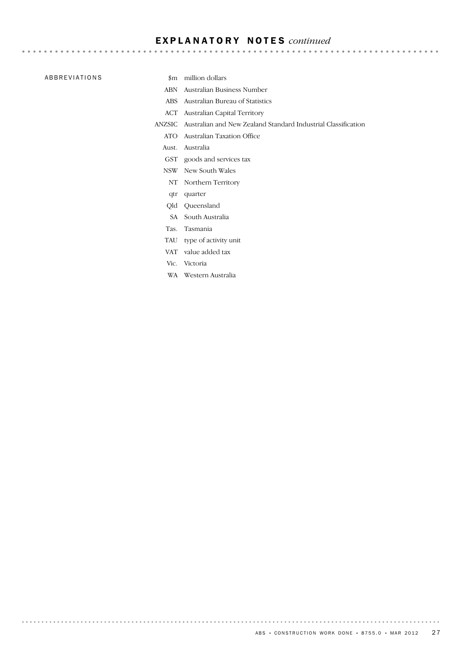#### ABBREVIATIONS \$m million dollars

. . . . . . . . . . .

- 
- ABN Australian Business Number
- ABS Australian Bureau of Statistics
- ACT Australian Capital Territory
- ANZSIC Australian and New Zealand Standard Industrial Classification
	- ATO Australian Taxation Office
	- Aust. Australia
	- GST goods and services tax
	- NSW New South Wales
		- NT Northern Territory
	- qtr quarter
	- Qld Queensland
	- SA South Australia
	- Tas. Tasmania
	- TAU type of activity unit
	- VAT value added tax
	- Vic. Victoria

. . . . . . . . . . . .

WA Western Australia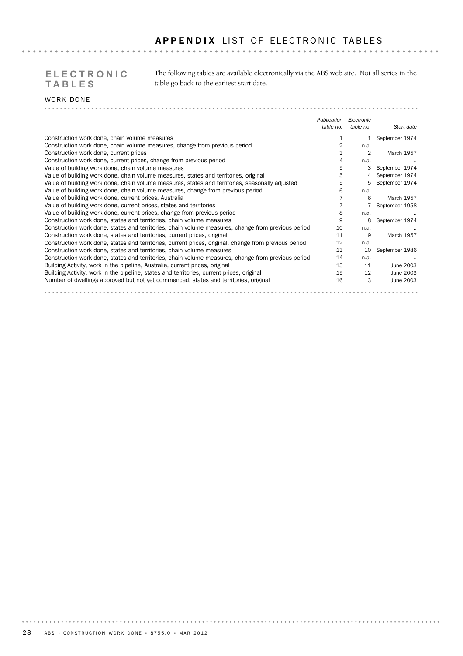# **TABLES**

The following tables are available electronically via the ABS web site. Not all series in the **ELECTRONIC**  table go back to the earliest start date.

#### WORK DONE . . . . . . . . . .

|                                                                                                       | Publication | Electronic |                   |
|-------------------------------------------------------------------------------------------------------|-------------|------------|-------------------|
|                                                                                                       | table no.   | table no.  | Start date        |
| Construction work done, chain volume measures                                                         |             |            | September 1974    |
| Construction work done, chain volume measures, change from previous period                            | 2           | n.a.       |                   |
| Construction work done, current prices                                                                |             | 2          | March 1957        |
| Construction work done, current prices, change from previous period                                   | 4           | n.a.       |                   |
| Value of building work done, chain volume measures                                                    | 5           | З          | September 1974    |
| Value of building work done, chain volume measures, states and territories, original                  | 5           |            | September 1974    |
| Value of building work done, chain volume measures, states and territories, seasonally adjusted       | 5           | 5          | September 1974    |
| Value of building work done, chain volume measures, change from previous period                       | 6           | n.a.       |                   |
| Value of building work done, current prices, Australia                                                |             | 6          | March 1957        |
| Value of building work done, current prices, states and territories                                   |             |            | September 1958    |
| Value of building work done, current prices, change from previous period                              | 8           | n.a.       |                   |
| Construction work done, states and territories, chain volume measures                                 | 9           | 8          | September 1974    |
| Construction work done, states and territories, chain volume measures, change from previous period    | 10          | n.a.       |                   |
| Construction work done, states and territories, current prices, original                              | 11          | 9          | <b>March 1957</b> |
| Construction work done, states and territories, current prices, original, change from previous period | 12          | n.a.       |                   |
| Construction work done, states and territories, chain volume measures                                 | 13          | 10         | September 1986    |
| Construction work done, states and territories, chain volume measures, change from previous period    | 14          | n.a.       |                   |
| Building Activity, work in the pipeline, Australia, current prices, original                          | 15          | 11         | June 2003         |
| Building Activity, work in the pipeline, states and territories, current prices, original             | 15          | 12         | June 2003         |
| Number of dwellings approved but not yet commenced, states and territories, original                  | 16          | 13         | June 2003         |
|                                                                                                       |             |            |                   |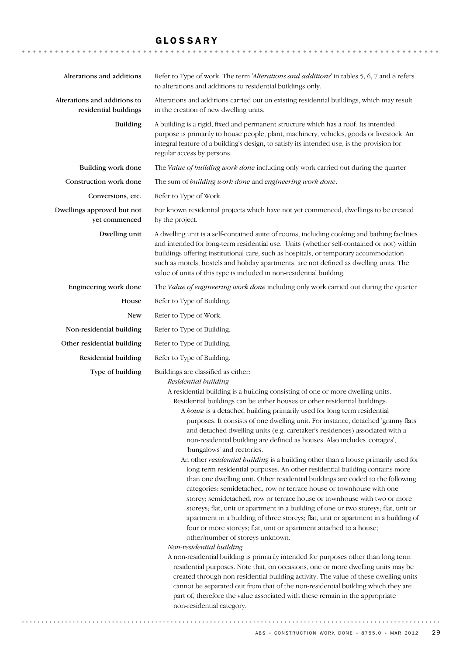## GLOSSARY

| Alterations and additions                             | Refer to Type of work. The term 'Alterations and additions' in tables 5, 6, 7 and 8 refers<br>to alterations and additions to residential buildings only.                                                                                                                                                                                                                                                                                                                                                                                                                                                                                                                                                                                                                                                                                                                                                                                                                                                                                                                                                                                                                                                                                                                                                                                                                                                                                                                                                                                                                                                                                                                |  |
|-------------------------------------------------------|--------------------------------------------------------------------------------------------------------------------------------------------------------------------------------------------------------------------------------------------------------------------------------------------------------------------------------------------------------------------------------------------------------------------------------------------------------------------------------------------------------------------------------------------------------------------------------------------------------------------------------------------------------------------------------------------------------------------------------------------------------------------------------------------------------------------------------------------------------------------------------------------------------------------------------------------------------------------------------------------------------------------------------------------------------------------------------------------------------------------------------------------------------------------------------------------------------------------------------------------------------------------------------------------------------------------------------------------------------------------------------------------------------------------------------------------------------------------------------------------------------------------------------------------------------------------------------------------------------------------------------------------------------------------------|--|
| Alterations and additions to<br>residential buildings | Alterations and additions carried out on existing residential buildings, which may result<br>in the creation of new dwelling units.                                                                                                                                                                                                                                                                                                                                                                                                                                                                                                                                                                                                                                                                                                                                                                                                                                                                                                                                                                                                                                                                                                                                                                                                                                                                                                                                                                                                                                                                                                                                      |  |
| <b>Building</b>                                       | A building is a rigid, fixed and permanent structure which has a roof. Its intended<br>purpose is primarily to house people, plant, machinery, vehicles, goods or livestock. An<br>integral feature of a building's design, to satisfy its intended use, is the provision for<br>regular access by persons.                                                                                                                                                                                                                                                                                                                                                                                                                                                                                                                                                                                                                                                                                                                                                                                                                                                                                                                                                                                                                                                                                                                                                                                                                                                                                                                                                              |  |
| Building work done                                    | The Value of building work done including only work carried out during the quarter                                                                                                                                                                                                                                                                                                                                                                                                                                                                                                                                                                                                                                                                                                                                                                                                                                                                                                                                                                                                                                                                                                                                                                                                                                                                                                                                                                                                                                                                                                                                                                                       |  |
| Construction work done                                | The sum of building work done and engineering work done.                                                                                                                                                                                                                                                                                                                                                                                                                                                                                                                                                                                                                                                                                                                                                                                                                                                                                                                                                                                                                                                                                                                                                                                                                                                                                                                                                                                                                                                                                                                                                                                                                 |  |
| Conversions, etc.                                     | Refer to Type of Work.                                                                                                                                                                                                                                                                                                                                                                                                                                                                                                                                                                                                                                                                                                                                                                                                                                                                                                                                                                                                                                                                                                                                                                                                                                                                                                                                                                                                                                                                                                                                                                                                                                                   |  |
| Dwellings approved but not<br>yet commenced           | For known residential projects which have not yet commenced, dwellings to be created<br>by the project.                                                                                                                                                                                                                                                                                                                                                                                                                                                                                                                                                                                                                                                                                                                                                                                                                                                                                                                                                                                                                                                                                                                                                                                                                                                                                                                                                                                                                                                                                                                                                                  |  |
| Dwelling unit                                         | A dwelling unit is a self-contained suite of rooms, including cooking and bathing facilities<br>and intended for long-term residential use. Units (whether self-contained or not) within<br>buildings offering institutional care, such as hospitals, or temporary accommodation<br>such as motels, hostels and holiday apartments, are not defined as dwelling units. The<br>value of units of this type is included in non-residential building.                                                                                                                                                                                                                                                                                                                                                                                                                                                                                                                                                                                                                                                                                                                                                                                                                                                                                                                                                                                                                                                                                                                                                                                                                       |  |
| Engineering work done                                 | The Value of engineering work done including only work carried out during the quarter                                                                                                                                                                                                                                                                                                                                                                                                                                                                                                                                                                                                                                                                                                                                                                                                                                                                                                                                                                                                                                                                                                                                                                                                                                                                                                                                                                                                                                                                                                                                                                                    |  |
| House                                                 | Refer to Type of Building.                                                                                                                                                                                                                                                                                                                                                                                                                                                                                                                                                                                                                                                                                                                                                                                                                                                                                                                                                                                                                                                                                                                                                                                                                                                                                                                                                                                                                                                                                                                                                                                                                                               |  |
| New                                                   | Refer to Type of Work.                                                                                                                                                                                                                                                                                                                                                                                                                                                                                                                                                                                                                                                                                                                                                                                                                                                                                                                                                                                                                                                                                                                                                                                                                                                                                                                                                                                                                                                                                                                                                                                                                                                   |  |
| Non-residential building                              | Refer to Type of Building.                                                                                                                                                                                                                                                                                                                                                                                                                                                                                                                                                                                                                                                                                                                                                                                                                                                                                                                                                                                                                                                                                                                                                                                                                                                                                                                                                                                                                                                                                                                                                                                                                                               |  |
| Other residential building                            | Refer to Type of Building.                                                                                                                                                                                                                                                                                                                                                                                                                                                                                                                                                                                                                                                                                                                                                                                                                                                                                                                                                                                                                                                                                                                                                                                                                                                                                                                                                                                                                                                                                                                                                                                                                                               |  |
| Residential building                                  | Refer to Type of Building.                                                                                                                                                                                                                                                                                                                                                                                                                                                                                                                                                                                                                                                                                                                                                                                                                                                                                                                                                                                                                                                                                                                                                                                                                                                                                                                                                                                                                                                                                                                                                                                                                                               |  |
| Type of building                                      | Buildings are classified as either:<br>Residential building<br>A residential building is a building consisting of one or more dwelling units.<br>Residential buildings can be either houses or other residential buildings.<br>A house is a detached building primarily used for long term residential<br>purposes. It consists of one dwelling unit. For instance, detached 'granny flats'<br>and detached dwelling units (e.g. caretaker's residences) associated with a<br>non-residential building are defined as houses. Also includes 'cottages',<br>'bungalows' and rectories.<br>An other residential building is a building other than a house primarily used for<br>long-term residential purposes. An other residential building contains more<br>than one dwelling unit. Other residential buildings are coded to the following<br>categories: semidetached, row or terrace house or townhouse with one<br>storey; semidetached, row or terrace house or townhouse with two or more<br>storeys; flat, unit or apartment in a building of one or two storeys; flat, unit or<br>apartment in a building of three storeys; flat, unit or apartment in a building of<br>four or more storeys; flat, unit or apartment attached to a house;<br>other/number of storeys unknown.<br>Non-residential building<br>A non-residential building is primarily intended for purposes other than long term<br>residential purposes. Note that, on occasions, one or more dwelling units may be<br>created through non-residential building activity. The value of these dwelling units<br>cannot be separated out from that of the non-residential building which they are |  |
|                                                       | part of, therefore the value associated with these remain in the appropriate<br>non-residential category.                                                                                                                                                                                                                                                                                                                                                                                                                                                                                                                                                                                                                                                                                                                                                                                                                                                                                                                                                                                                                                                                                                                                                                                                                                                                                                                                                                                                                                                                                                                                                                |  |

 $ABS \cdot$  CONSTRUCTION WORK DONE  $\cdot$  8755.0  $\cdot$  MAR 2012 29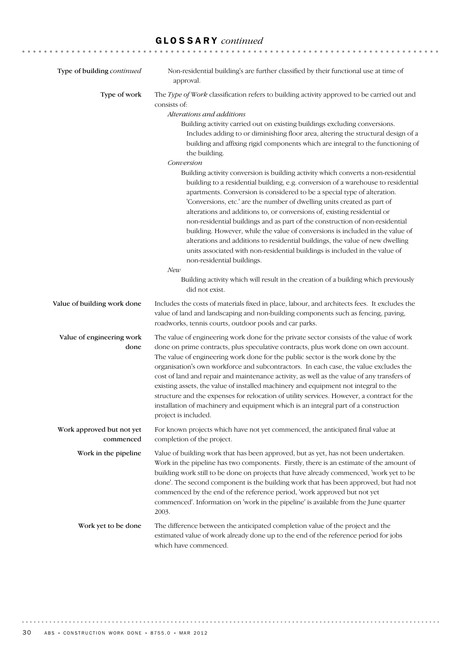# GLOSSARY *continued*

| Type of building continued             | Non-residential building's are further classified by their functional use at time of<br>approval.                                                                                                                                                                                                                                                                                                                                                                                                                                                                                                                                                                                                                                                                                                                                                                                                                                                                                                                                                                                                                                                                                                                |
|----------------------------------------|------------------------------------------------------------------------------------------------------------------------------------------------------------------------------------------------------------------------------------------------------------------------------------------------------------------------------------------------------------------------------------------------------------------------------------------------------------------------------------------------------------------------------------------------------------------------------------------------------------------------------------------------------------------------------------------------------------------------------------------------------------------------------------------------------------------------------------------------------------------------------------------------------------------------------------------------------------------------------------------------------------------------------------------------------------------------------------------------------------------------------------------------------------------------------------------------------------------|
| Type of work                           | The Type of Work classification refers to building activity approved to be carried out and<br>consists of:<br>Alterations and additions<br>Building activity carried out on existing buildings excluding conversions.<br>Includes adding to or diminishing floor area, altering the structural design of a<br>building and affixing rigid components which are integral to the functioning of<br>the building.<br>Conversion<br>Building activity conversion is building activity which converts a non-residential<br>building to a residential building, e.g. conversion of a warehouse to residential<br>apartments. Conversion is considered to be a special type of alteration.<br>'Conversions, etc.' are the number of dwelling units created as part of<br>alterations and additions to, or conversions of, existing residential or<br>non-residential buildings and as part of the construction of non-residential<br>building. However, while the value of conversions is included in the value of<br>alterations and additions to residential buildings, the value of new dwelling<br>units associated with non-residential buildings is included in the value of<br>non-residential buildings.<br>New |
|                                        | Building activity which will result in the creation of a building which previously<br>did not exist.                                                                                                                                                                                                                                                                                                                                                                                                                                                                                                                                                                                                                                                                                                                                                                                                                                                                                                                                                                                                                                                                                                             |
| Value of building work done            | Includes the costs of materials fixed in place, labour, and architects fees. It excludes the<br>value of land and landscaping and non-building components such as fencing, paving,<br>roadworks, tennis courts, outdoor pools and car parks.                                                                                                                                                                                                                                                                                                                                                                                                                                                                                                                                                                                                                                                                                                                                                                                                                                                                                                                                                                     |
| Value of engineering work<br>done      | The value of engineering work done for the private sector consists of the value of work<br>done on prime contracts, plus speculative contracts, plus work done on own account.<br>The value of engineering work done for the public sector is the work done by the<br>organisation's own workforce and subcontractors. In each case, the value excludes the<br>cost of land and repair and maintenance activity, as well as the value of any transfers of<br>existing assets, the value of installed machinery and equipment not integral to the<br>structure and the expenses for relocation of utility services. However, a contract for the<br>installation of machinery and equipment which is an integral part of a construction<br>project is included.                                                                                                                                                                                                                                                                                                                                                                                                                                                    |
| Work approved but not yet<br>commenced | For known projects which have not yet commenced, the anticipated final value at<br>completion of the project.                                                                                                                                                                                                                                                                                                                                                                                                                                                                                                                                                                                                                                                                                                                                                                                                                                                                                                                                                                                                                                                                                                    |
| Work in the pipeline                   | Value of building work that has been approved, but as yet, has not been undertaken.<br>Work in the pipeline has two components. Firstly, there is an estimate of the amount of<br>building work still to be done on projects that have already commenced, 'work yet to be<br>done'. The second component is the building work that has been approved, but had not<br>commenced by the end of the reference period, 'work approved but not yet<br>commenced'. Information on 'work in the pipeline' is available from the June quarter<br>2003.                                                                                                                                                                                                                                                                                                                                                                                                                                                                                                                                                                                                                                                                   |
| Work yet to be done                    | The difference between the anticipated completion value of the project and the<br>estimated value of work already done up to the end of the reference period for jobs<br>which have commenced.                                                                                                                                                                                                                                                                                                                                                                                                                                                                                                                                                                                                                                                                                                                                                                                                                                                                                                                                                                                                                   |